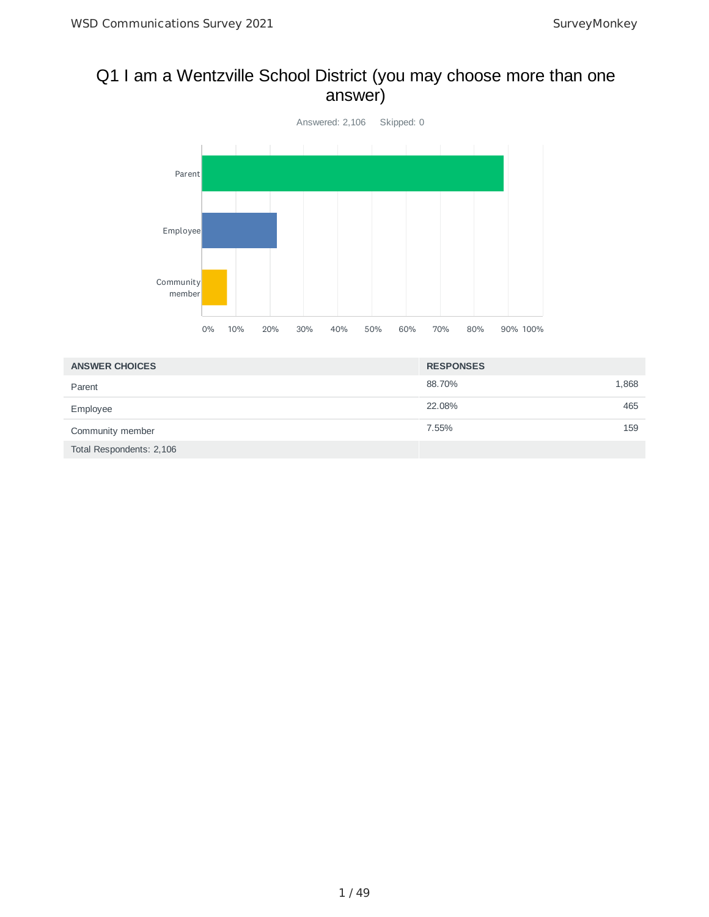# Q1 I am a Wentzville School District (you may choose more than one answer)



| <b>ANSWER CHOICES</b>    | <b>RESPONSES</b> |       |
|--------------------------|------------------|-------|
| Parent                   | 88.70%           | 1,868 |
| Employee                 | 22.08%           | 465   |
| Community member         | 7.55%            | 159   |
| Total Respondents: 2,106 |                  |       |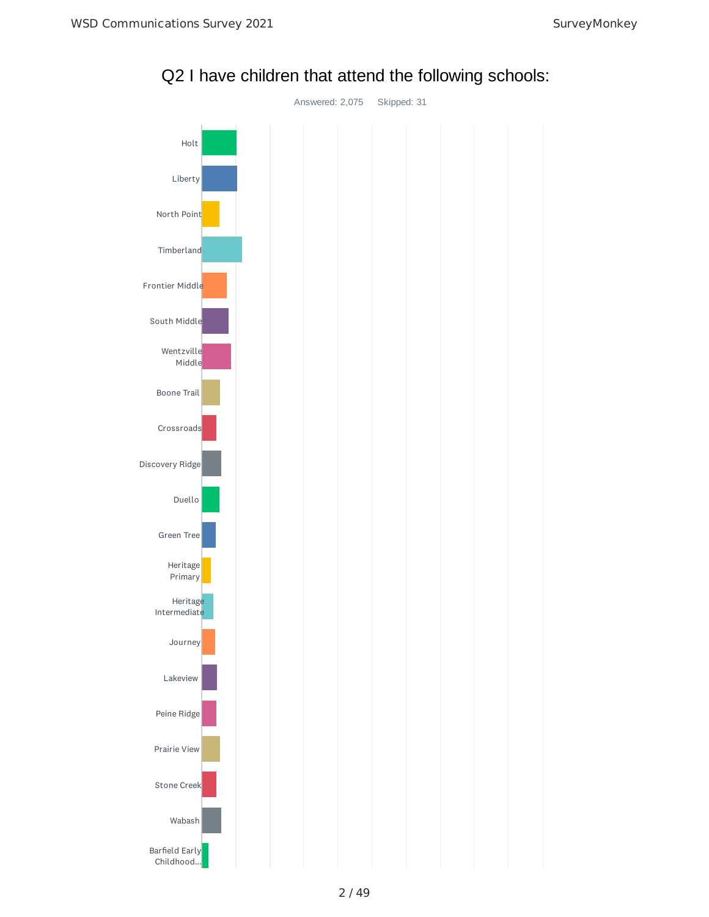

Q2 I have children that attend the following schools: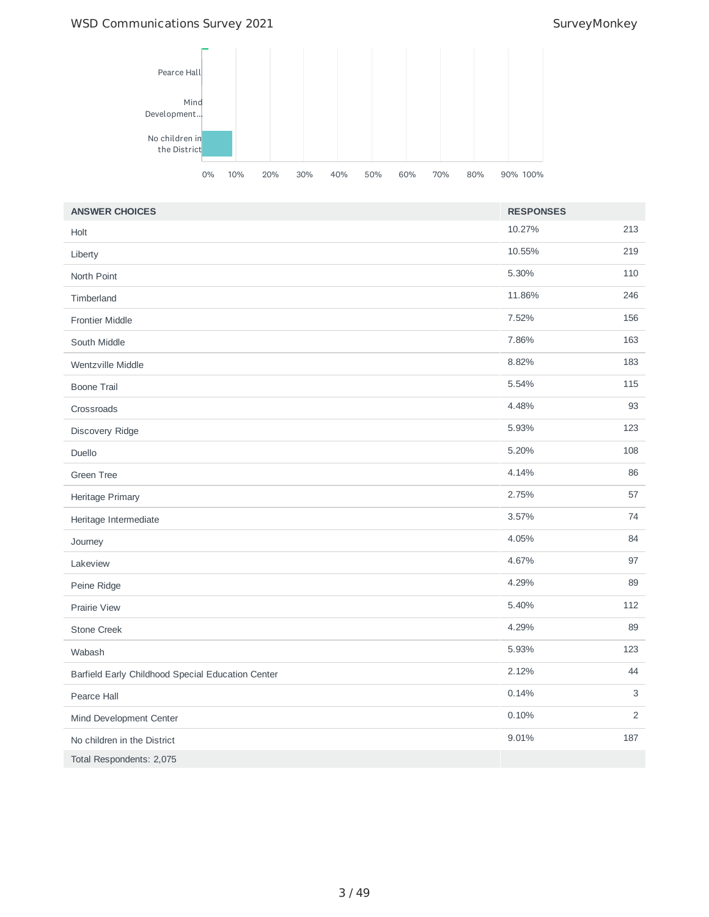## WSD Communications Survey 2021 and the state of the SurveyMonkey



| <b>ANSWER CHOICES</b>                             | <b>RESPONSES</b> |                |
|---------------------------------------------------|------------------|----------------|
| Holt                                              | 10.27%           | 213            |
| Liberty                                           | 10.55%           | 219            |
| North Point                                       | 5.30%            | 110            |
| Timberland                                        | 11.86%           | 246            |
| <b>Frontier Middle</b>                            | 7.52%            | 156            |
| South Middle                                      | 7.86%            | 163            |
| Wentzville Middle                                 | 8.82%            | 183            |
| <b>Boone Trail</b>                                | 5.54%            | 115            |
| Crossroads                                        | 4.48%            | 93             |
| Discovery Ridge                                   | 5.93%            | 123            |
| Duello                                            | 5.20%            | 108            |
| <b>Green Tree</b>                                 | 4.14%            | 86             |
| Heritage Primary                                  | 2.75%            | 57             |
| Heritage Intermediate                             | 3.57%            | 74             |
| Journey                                           | 4.05%            | 84             |
| Lakeview                                          | 4.67%            | 97             |
| Peine Ridge                                       | 4.29%            | 89             |
| <b>Prairie View</b>                               | 5.40%            | 112            |
| Stone Creek                                       | 4.29%            | 89             |
| Wabash                                            | 5.93%            | 123            |
| Barfield Early Childhood Special Education Center | 2.12%            | 44             |
| Pearce Hall                                       | 0.14%            | 3              |
| Mind Development Center                           | 0.10%            | $\overline{2}$ |
| No children in the District                       | 9.01%            | 187            |
| Total Respondents: 2,075                          |                  |                |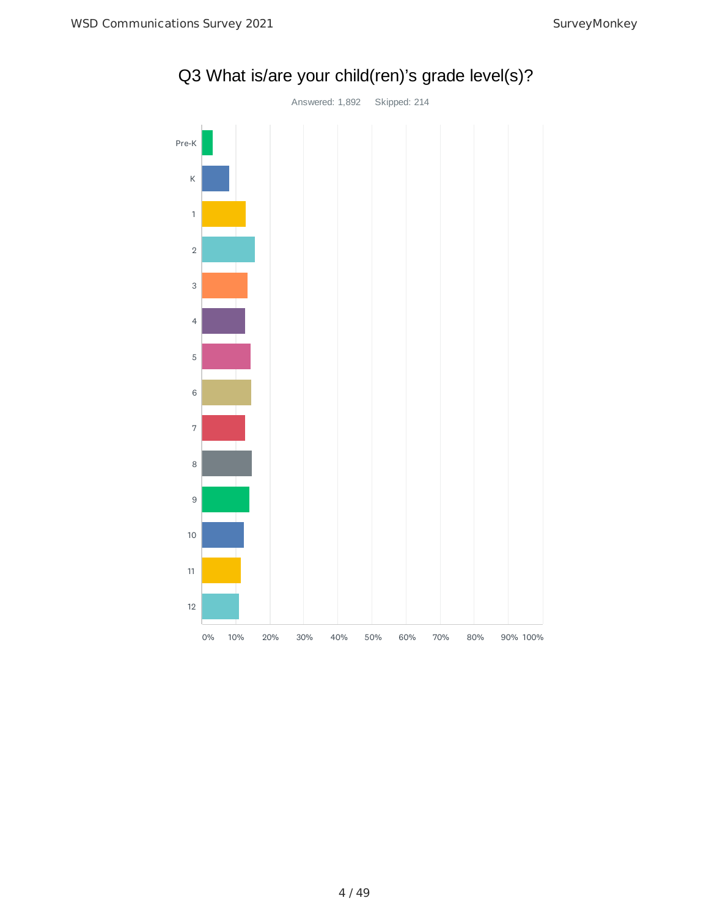

Q3 What is/are your child(ren)'s grade level(s)?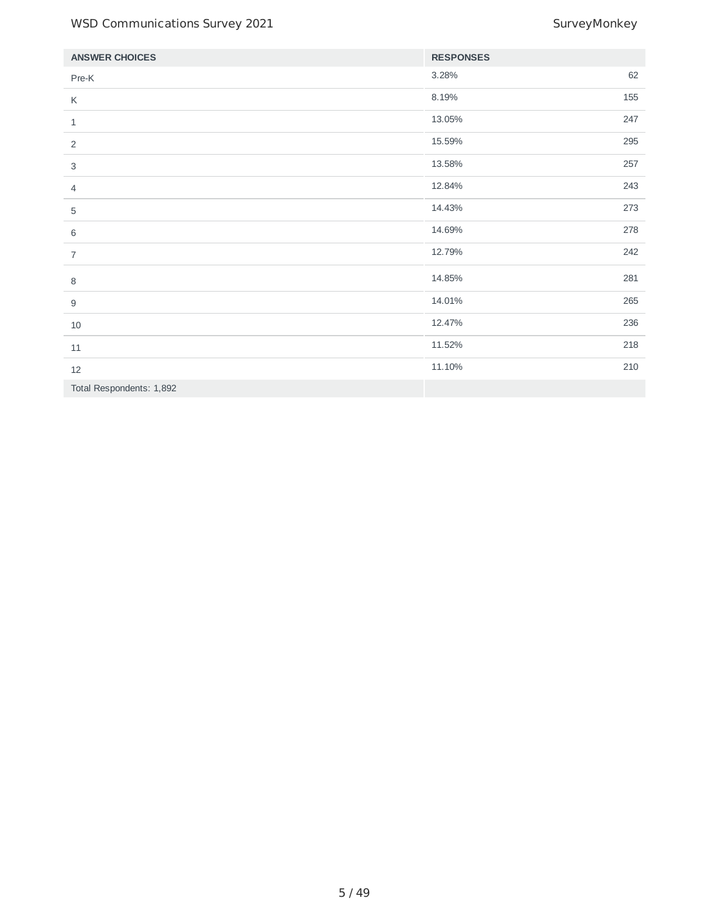| <b>ANSWER CHOICES</b>    | <b>RESPONSES</b> |     |
|--------------------------|------------------|-----|
| Pre-K                    | 3.28%            | 62  |
| К                        | 8.19%            | 155 |
| $\mathbf{1}$             | 13.05%           | 247 |
| 2                        | 15.59%           | 295 |
| 3                        | 13.58%           | 257 |
| $\overline{4}$           | 12.84%           | 243 |
| 5                        | 14.43%           | 273 |
| 6                        | 14.69%           | 278 |
| $\overline{7}$           | 12.79%           | 242 |
| 8                        | 14.85%           | 281 |
| $\boldsymbol{9}$         | 14.01%           | 265 |
| $10\,$                   | 12.47%           | 236 |
| $11\,$                   | 11.52%           | 218 |
| $12\,$                   | 11.10%           | 210 |
| Total Respondents: 1,892 |                  |     |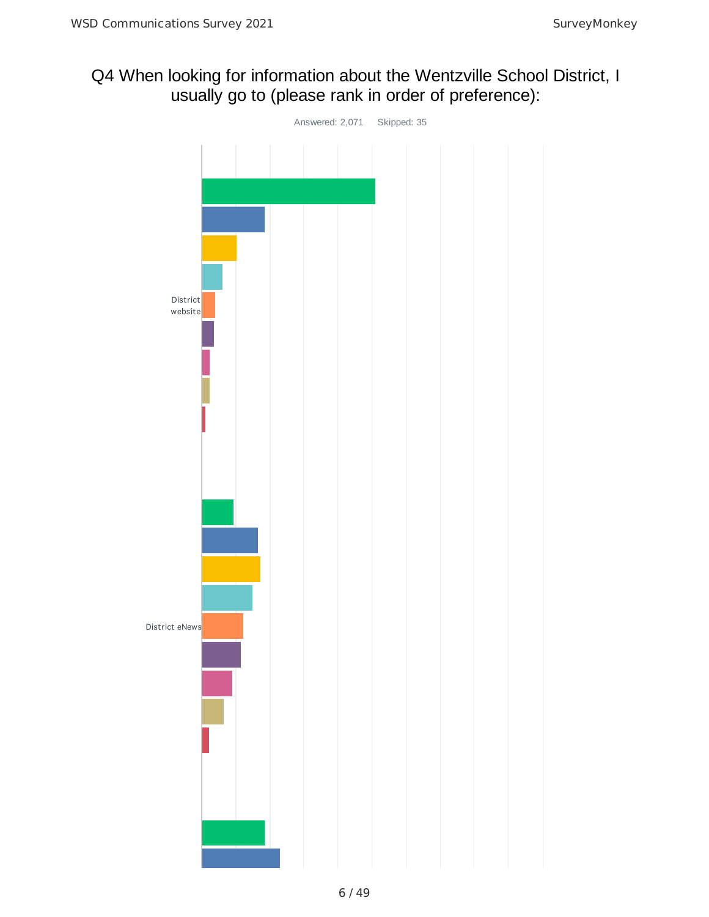# Q4 When looking for information about the Wentzville School District, I usually go to (please rank in order of preference):

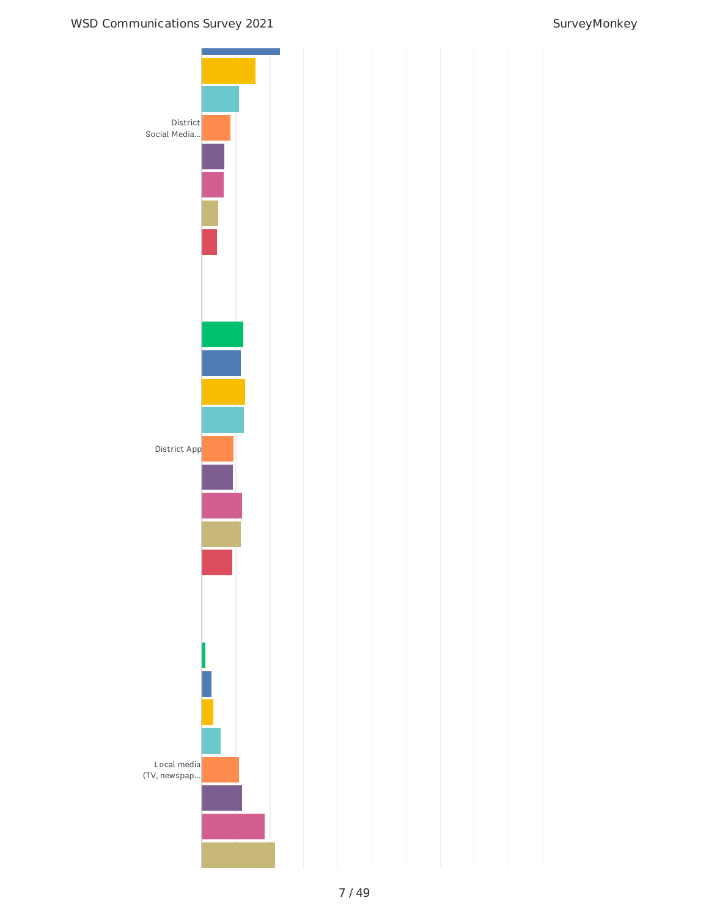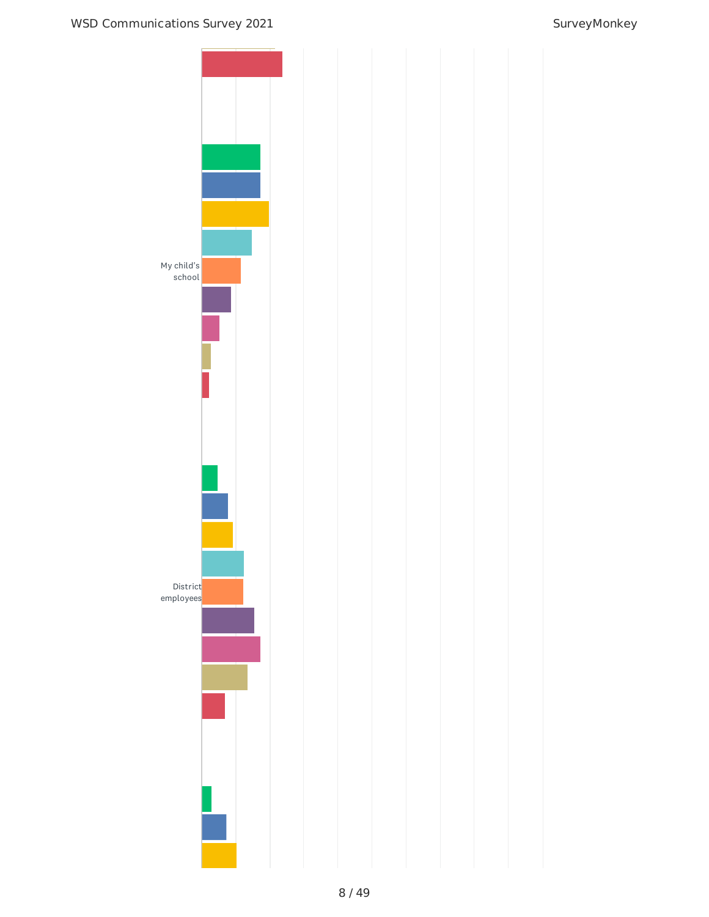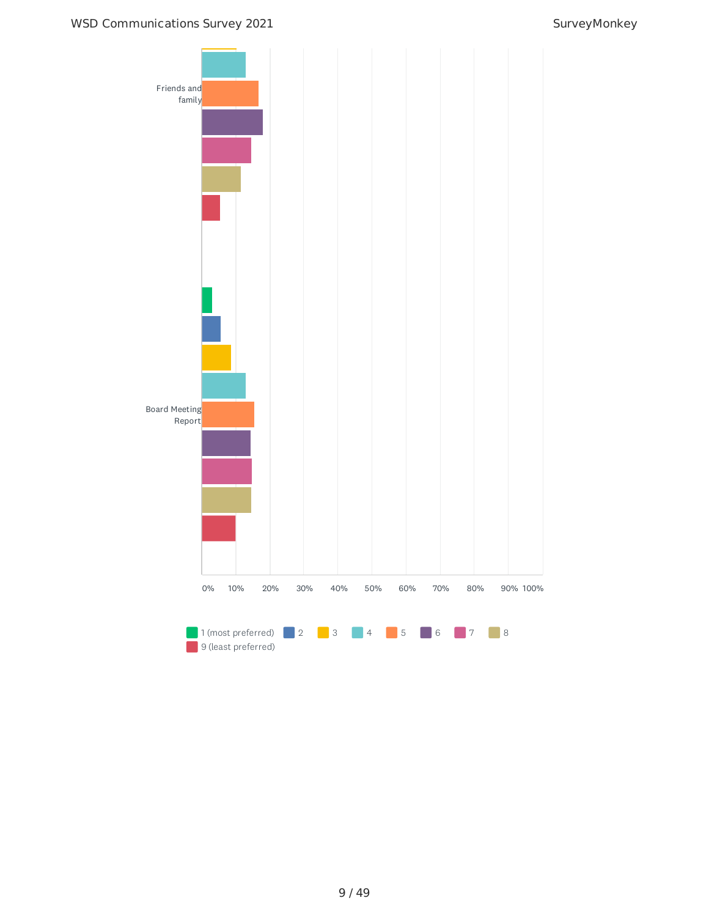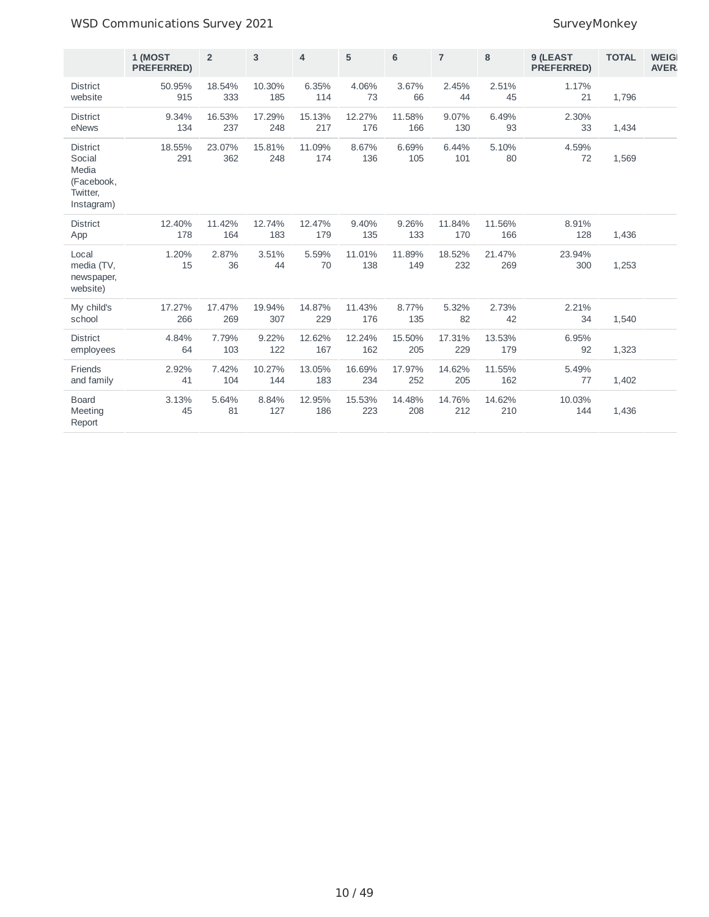## WSD Communications Survey 2021 and the state of the SurveyMonkey

|                                                                            | 1 (MOST<br><b>PREFERRED)</b> | $\overline{2}$ | 3             | $\overline{4}$ | 5             | 6             | $\overline{7}$ | 8             | 9 (LEAST<br><b>PREFERRED)</b> | <b>TOTAL</b> | <b>WEIG</b><br><b>AVER</b> |
|----------------------------------------------------------------------------|------------------------------|----------------|---------------|----------------|---------------|---------------|----------------|---------------|-------------------------------|--------------|----------------------------|
| <b>District</b><br>website                                                 | 50.95%<br>915                | 18.54%<br>333  | 10.30%<br>185 | 6.35%<br>114   | 4.06%<br>73   | 3.67%<br>66   | 2.45%<br>44    | 2.51%<br>45   | 1.17%<br>21                   | 1,796        |                            |
| <b>District</b><br>eNews                                                   | 9.34%<br>134                 | 16.53%<br>237  | 17.29%<br>248 | 15.13%<br>217  | 12.27%<br>176 | 11.58%<br>166 | 9.07%<br>130   | 6.49%<br>93   | 2.30%<br>33                   | 1,434        |                            |
| <b>District</b><br>Social<br>Media<br>(Facebook,<br>Twitter,<br>Instagram) | 18.55%<br>291                | 23.07%<br>362  | 15.81%<br>248 | 11.09%<br>174  | 8.67%<br>136  | 6.69%<br>105  | 6.44%<br>101   | 5.10%<br>80   | 4.59%<br>72                   | 1,569        |                            |
| <b>District</b><br>App                                                     | 12.40%<br>178                | 11.42%<br>164  | 12.74%<br>183 | 12.47%<br>179  | 9.40%<br>135  | 9.26%<br>133  | 11.84%<br>170  | 11.56%<br>166 | 8.91%<br>128                  | 1,436        |                            |
| Local<br>media (TV,<br>newspaper,<br>website)                              | 1.20%<br>15                  | 2.87%<br>36    | 3.51%<br>44   | 5.59%<br>70    | 11.01%<br>138 | 11.89%<br>149 | 18.52%<br>232  | 21.47%<br>269 | 23.94%<br>300                 | 1,253        |                            |
| My child's<br>school                                                       | 17.27%<br>266                | 17.47%<br>269  | 19.94%<br>307 | 14.87%<br>229  | 11.43%<br>176 | 8.77%<br>135  | 5.32%<br>82    | 2.73%<br>42   | 2.21%<br>34                   | 1,540        |                            |
| <b>District</b><br>employees                                               | 4.84%<br>64                  | 7.79%<br>103   | 9.22%<br>122  | 12.62%<br>167  | 12.24%<br>162 | 15.50%<br>205 | 17.31%<br>229  | 13.53%<br>179 | 6.95%<br>92                   | 1,323        |                            |
| Friends<br>and family                                                      | 2.92%<br>41                  | 7.42%<br>104   | 10.27%<br>144 | 13.05%<br>183  | 16.69%<br>234 | 17.97%<br>252 | 14.62%<br>205  | 11.55%<br>162 | 5.49%<br>77                   | 1,402        |                            |
| <b>Board</b><br>Meeting<br>Report                                          | 3.13%<br>45                  | 5.64%<br>81    | 8.84%<br>127  | 12.95%<br>186  | 15.53%<br>223 | 14.48%<br>208 | 14.76%<br>212  | 14.62%<br>210 | 10.03%<br>144                 | 1,436        |                            |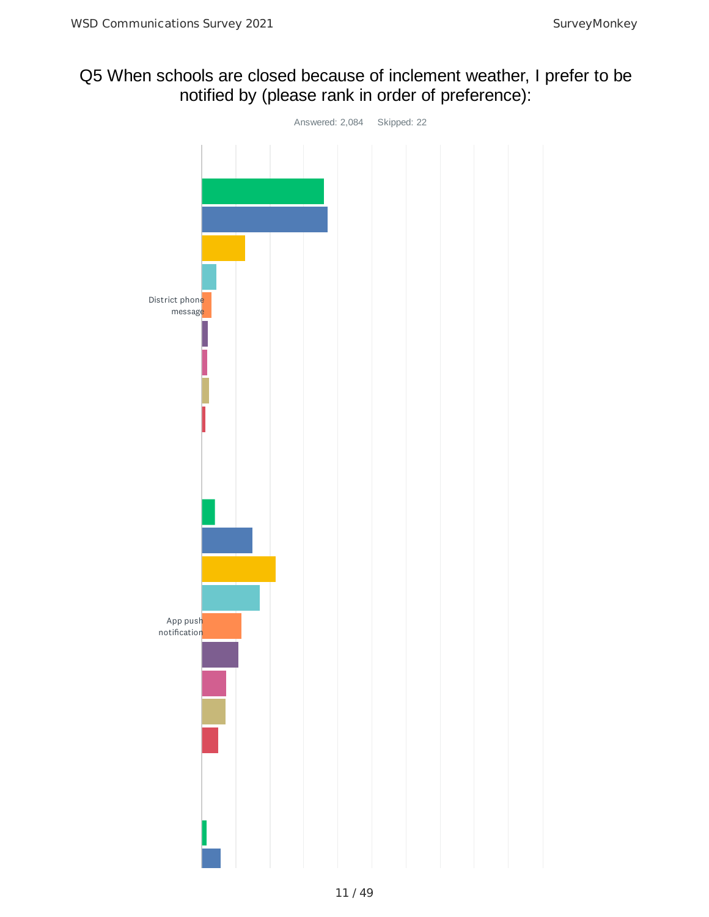# Q5 When schools are closed because of inclement weather, I prefer to be notified by (please rank in order of preference):

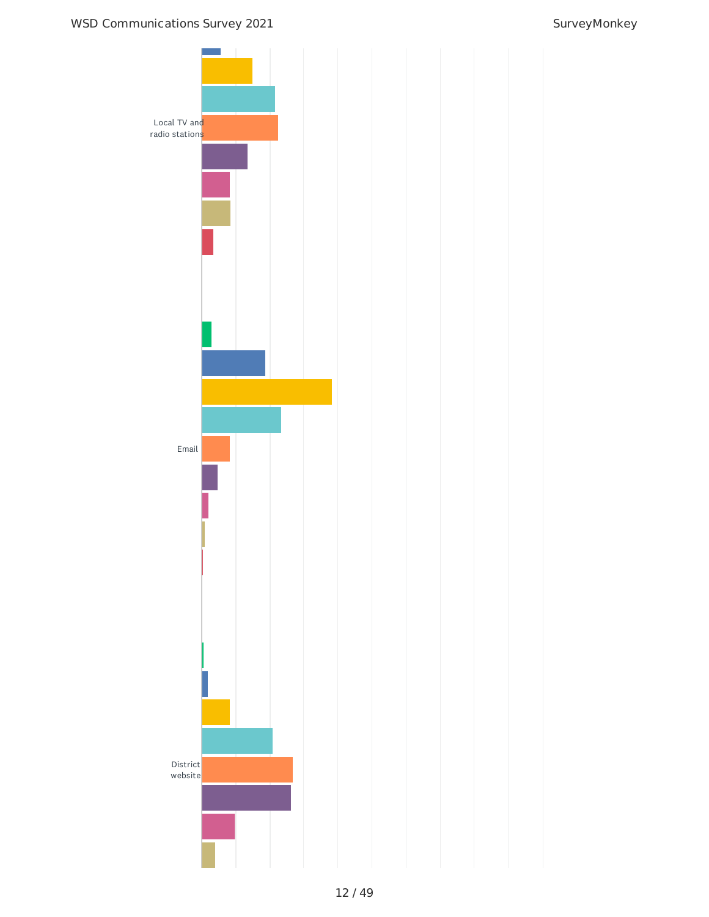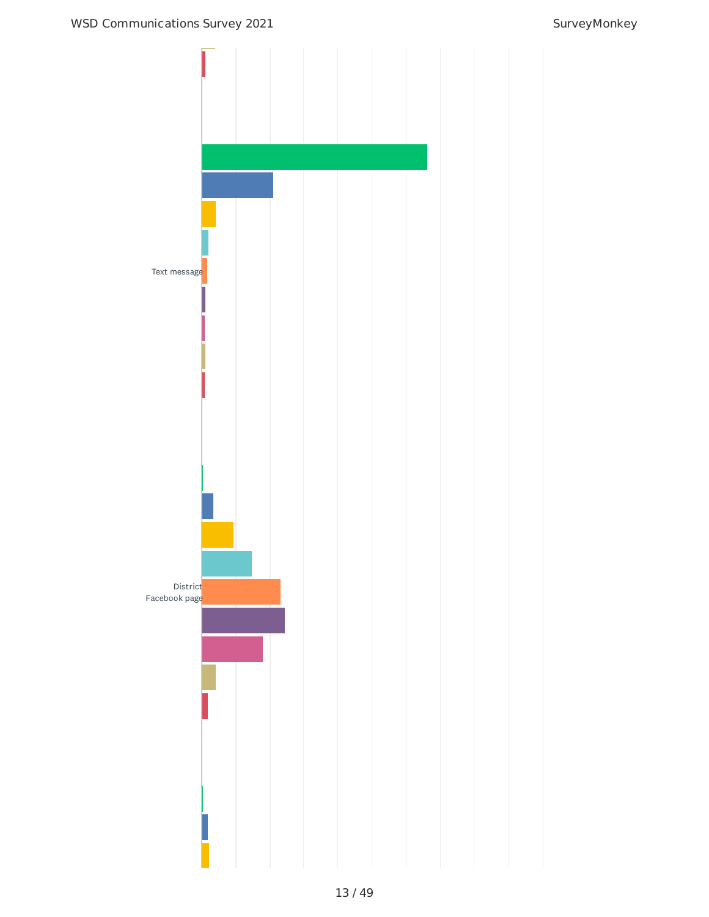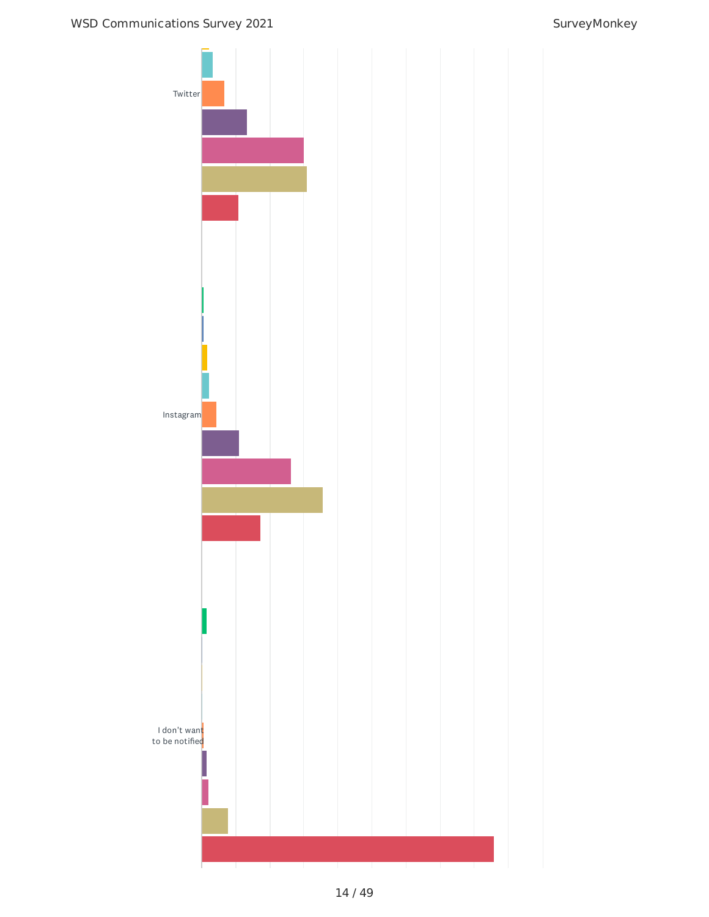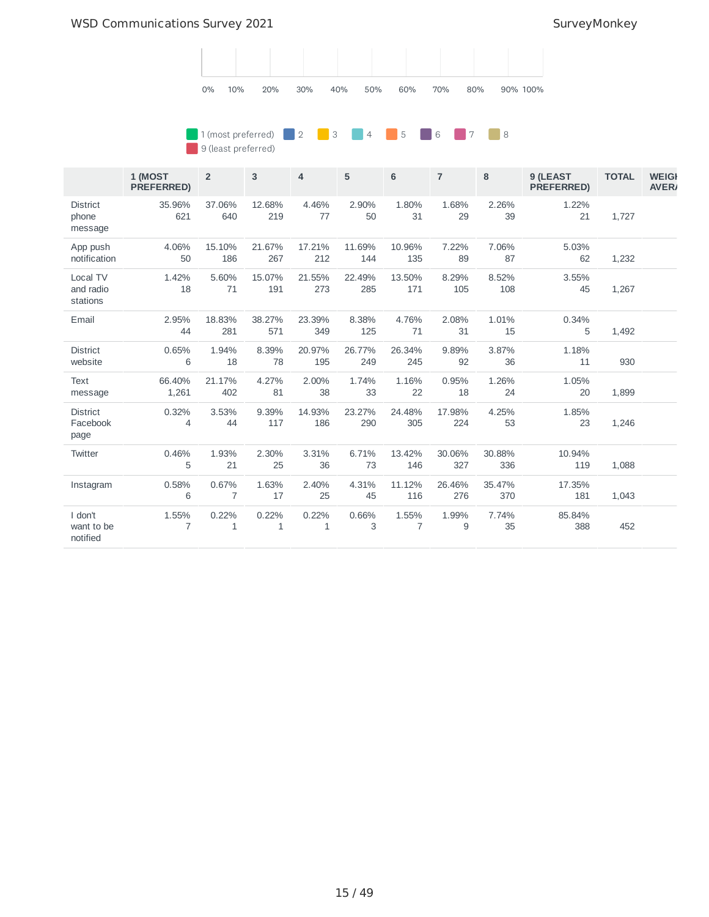

### **1** (most preferred) **2** 2 3 4 5 6 7 8 9 (least preferred)

|                                     | 1 (MOST<br><b>PREFERRED)</b> | $\overline{2}$          | 3             | 4                     | 5             | 6             | $\overline{7}$ | 8             | 9 (LEAST<br><b>PREFERRED)</b> | <b>TOTAL</b> | <b>WEIGH</b><br><b>AVER</b> |
|-------------------------------------|------------------------------|-------------------------|---------------|-----------------------|---------------|---------------|----------------|---------------|-------------------------------|--------------|-----------------------------|
| <b>District</b><br>phone<br>message | 35.96%<br>621                | 37.06%<br>640           | 12.68%<br>219 | 4.46%<br>77           | 2.90%<br>50   | 1.80%<br>31   | 1.68%<br>29    | 2.26%<br>39   | 1.22%<br>21                   | 1,727        |                             |
| App push<br>notification            | 4.06%<br>50                  | 15.10%<br>186           | 21.67%<br>267 | 17.21%<br>212         | 11.69%<br>144 | 10.96%<br>135 | 7.22%<br>89    | 7.06%<br>87   | 5.03%<br>62                   | 1,232        |                             |
| Local TV<br>and radio<br>stations   | 1.42%<br>18                  | 5.60%<br>71             | 15.07%<br>191 | 21.55%<br>273         | 22.49%<br>285 | 13.50%<br>171 | 8.29%<br>105   | 8.52%<br>108  | 3.55%<br>45                   | 1,267        |                             |
| Email                               | 2.95%<br>44                  | 18.83%<br>281           | 38.27%<br>571 | 23.39%<br>349         | 8.38%<br>125  | 4.76%<br>71   | 2.08%<br>31    | 1.01%<br>15   | 0.34%<br>5                    | 1,492        |                             |
| <b>District</b><br>website          | 0.65%<br>6                   | 1.94%<br>18             | 8.39%<br>78   | 20.97%<br>195         | 26.77%<br>249 | 26.34%<br>245 | 9.89%<br>92    | 3.87%<br>36   | 1.18%<br>11                   | 930          |                             |
| <b>Text</b><br>message              | 66.40%<br>1,261              | 21.17%<br>402           | 4.27%<br>81   | 2.00%<br>38           | 1.74%<br>33   | 1.16%<br>22   | 0.95%<br>18    | 1.26%<br>24   | 1.05%<br>20                   | 1,899        |                             |
| <b>District</b><br>Facebook<br>page | 0.32%<br>4                   | 3.53%<br>44             | 9.39%<br>117  | 14.93%<br>186         | 23.27%<br>290 | 24.48%<br>305 | 17.98%<br>224  | 4.25%<br>53   | 1.85%<br>23                   | 1,246        |                             |
| Twitter                             | 0.46%<br>5                   | 1.93%<br>21             | 2.30%<br>25   | 3.31%<br>36           | 6.71%<br>73   | 13.42%<br>146 | 30.06%<br>327  | 30.88%<br>336 | 10.94%<br>119                 | 1,088        |                             |
| Instagram                           | 0.58%<br>6                   | 0.67%<br>$\overline{7}$ | 1.63%<br>17   | 2.40%<br>25           | 4.31%<br>45   | 11.12%<br>116 | 26.46%<br>276  | 35.47%<br>370 | 17.35%<br>181                 | 1,043        |                             |
| I don't<br>want to be<br>notified   | 1.55%<br>7                   | 0.22%<br>$\mathbf{1}$   | 0.22%<br>1    | 0.22%<br>$\mathbf{1}$ | 0.66%<br>3    | 1.55%<br>7    | 1.99%<br>9     | 7.74%<br>35   | 85.84%<br>388                 | 452          |                             |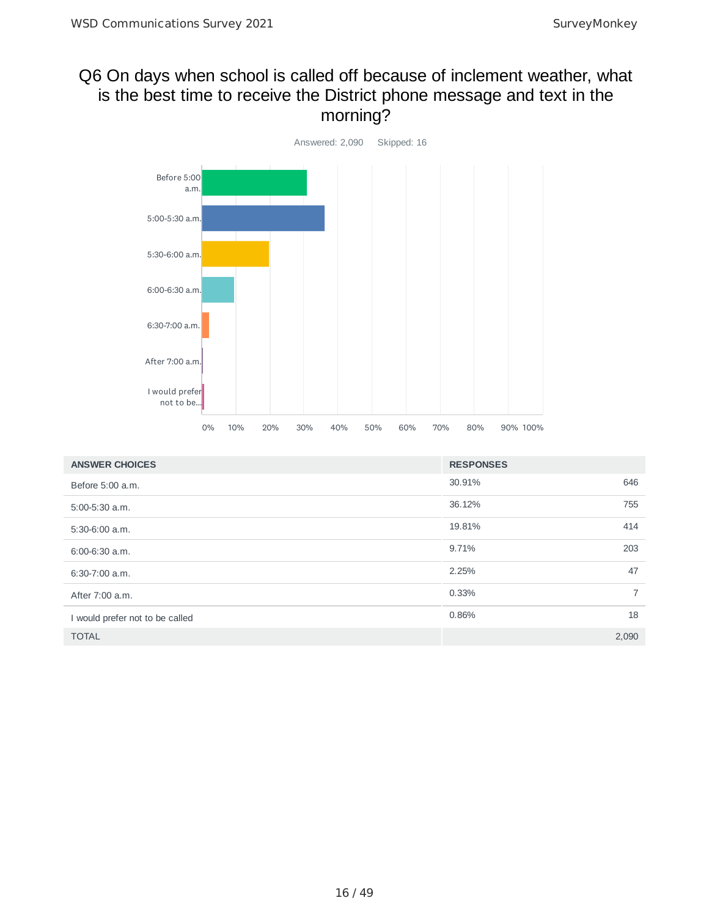# Q6 On days when school is called off because of inclement weather, what is the best time to receive the District phone message and text in the morning?



| <b>ANSWER CHOICES</b>           | <b>RESPONSES</b> |                |
|---------------------------------|------------------|----------------|
| Before 5:00 a.m.                | 30.91%<br>646    |                |
| $5:00-5:30$ a.m.                | 755<br>36.12%    |                |
| $5:30-6:00$ a.m.                | 414<br>19.81%    |                |
| $6:00-6:30$ a.m.                | 203<br>9.71%     |                |
| $6:30-7:00$ a.m.                | 47<br>2.25%      |                |
| After 7:00 a.m.                 | $0.33\%$         | $\overline{7}$ |
| I would prefer not to be called | 18<br>0.86%      |                |
| <b>TOTAL</b>                    | 2,090            |                |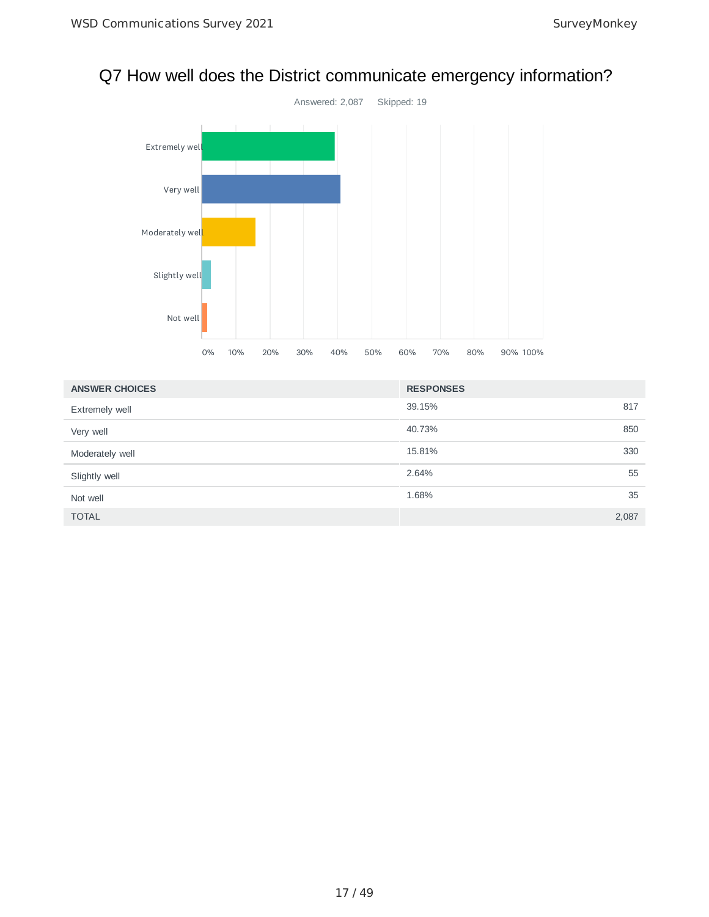# Q7 How well does the District communicate emergency information?



| <b>ANSWER CHOICES</b> | <b>RESPONSES</b> |       |
|-----------------------|------------------|-------|
| <b>Extremely well</b> | 39.15%           | 817   |
| Very well             | 40.73%           | 850   |
| Moderately well       | 15.81%           | 330   |
| Slightly well         | 2.64%            | 55    |
| Not well              | 1.68%            | 35    |
| <b>TOTAL</b>          |                  | 2,087 |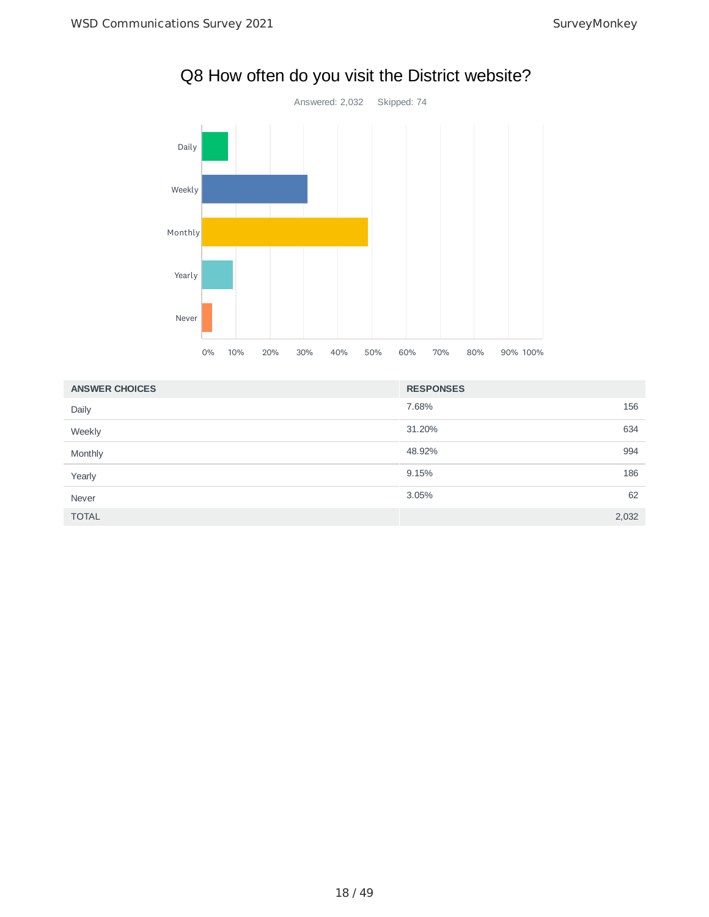

### 7.68% 156 31.20% 634 48.92% 994 9.15% 186 3.05% 62 TOTAL 2,032 **ANSWER CHOICES RESPONSES** Daily Weekly Monthly Yearly Never

# Q8 How often do you visit the District website?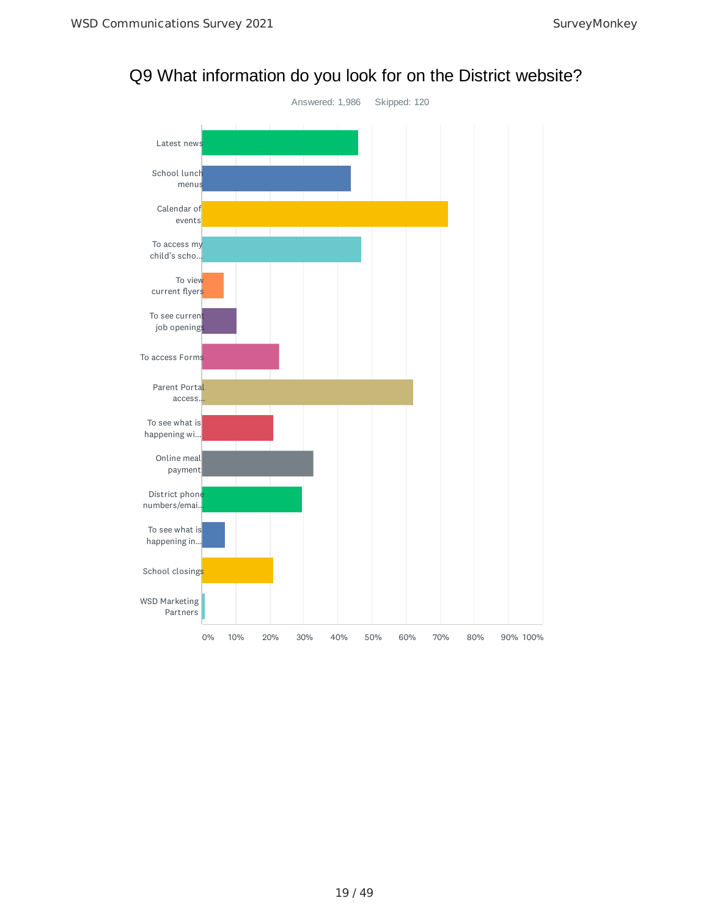

# Q9 What information do you look for on the District website?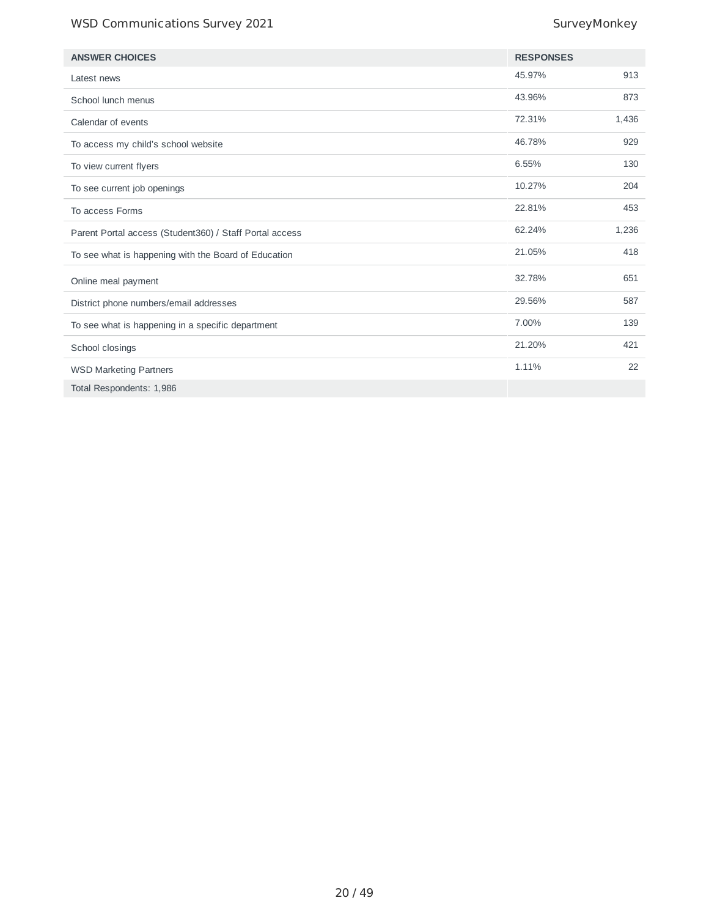## WSD Communications Survey 2021 and the state of the SurveyMonkey

| <b>ANSWER CHOICES</b>                                   | <b>RESPONSES</b> |       |
|---------------------------------------------------------|------------------|-------|
| Latest news                                             | 45.97%           | 913   |
| School lunch menus                                      | 43.96%           | 873   |
| Calendar of events                                      | 72.31%           | 1,436 |
| To access my child's school website                     | 46.78%           | 929   |
| To view current flyers                                  | 6.55%            | 130   |
| To see current job openings                             | 10.27%           | 204   |
| To access Forms                                         | 22.81%           | 453   |
| Parent Portal access (Student360) / Staff Portal access | 62.24%           | 1,236 |
| To see what is happening with the Board of Education    | 21.05%           | 418   |
| Online meal payment                                     | 32.78%           | 651   |
| District phone numbers/email addresses                  | 29.56%           | 587   |
| To see what is happening in a specific department       | 7.00%            | 139   |
| School closings                                         | 21.20%           | 421   |
| <b>WSD Marketing Partners</b>                           | 1.11%            | 22    |
| Total Respondents: 1,986                                |                  |       |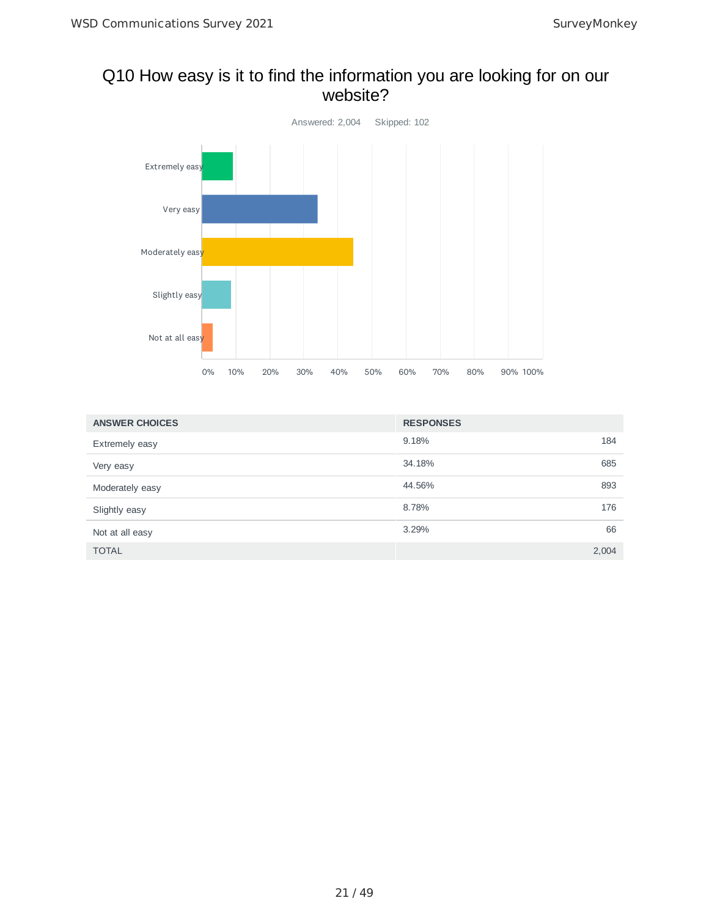## Q10 How easy is it to find the information you are looking for on our website?



| <b>ANSWER CHOICES</b> | <b>RESPONSES</b> |
|-----------------------|------------------|
| <b>Extremely easy</b> | 9.18%<br>184     |
| Very easy             | 34.18%<br>685    |
| Moderately easy       | 44.56%<br>893    |
| Slightly easy         | 8.78%<br>176     |
| Not at all easy       | 3.29%<br>66      |
| <b>TOTAL</b>          | 2,004            |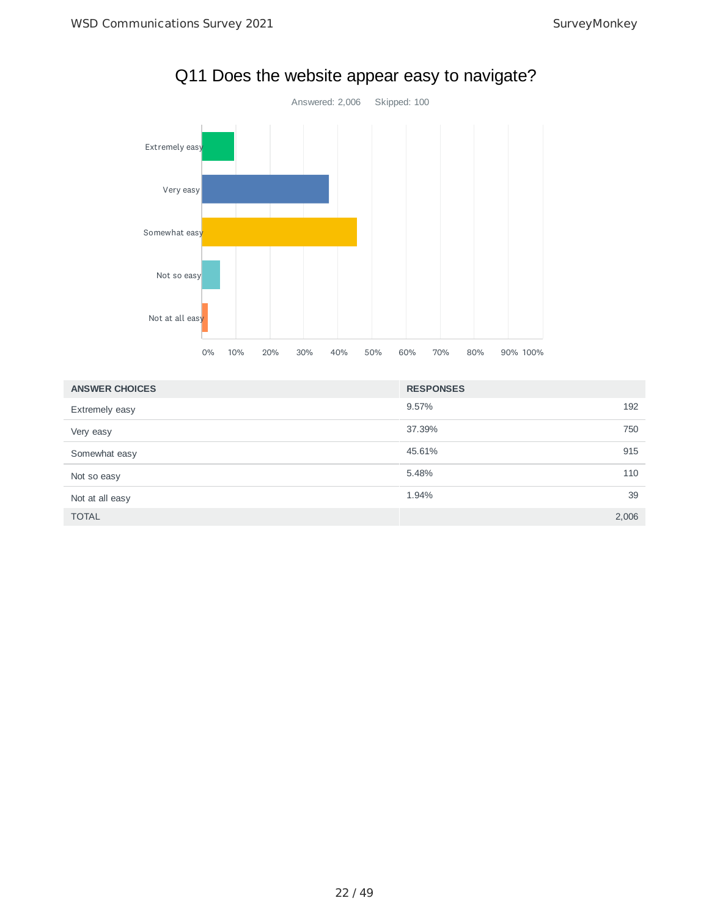

# Q11 Does the website appear easy to navigate?

| <b>ANSWER CHOICES</b> | <b>RESPONSES</b> |     |
|-----------------------|------------------|-----|
| <b>Extremely easy</b> | 9.57%            | 192 |
| Very easy             | 37.39%           | 750 |
| Somewhat easy         | 45.61%           | 915 |
| Not so easy           | 5.48%            | 110 |
| Not at all easy       | 1.94%            | 39  |
| <b>TOTAL</b>          | 2,006            |     |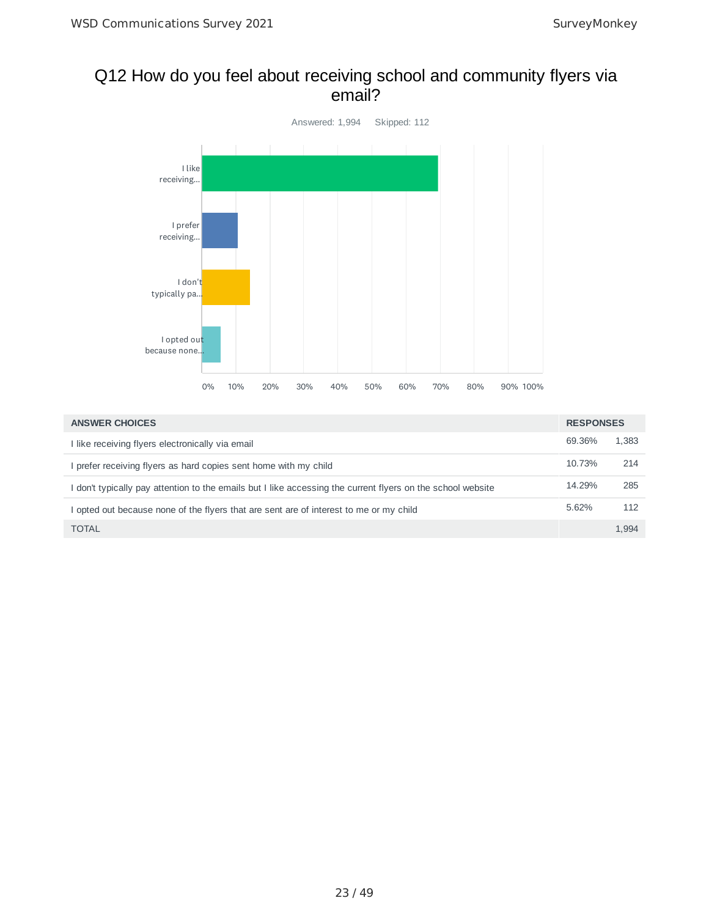## Q12 How do you feel about receiving school and community flyers via email?



| <b>ANSWER CHOICES</b>                                                                                       | <b>RESPONSES</b> |       |
|-------------------------------------------------------------------------------------------------------------|------------------|-------|
| I like receiving flyers electronically via email                                                            | 69.36%           | 1.383 |
| I prefer receiving flyers as hard copies sent home with my child                                            | 10.73%           | 214   |
| I don't typically pay attention to the emails but I like accessing the current flyers on the school website | 14.29%           | 285   |
| opted out because none of the flyers that are sent are of interest to me or my child                        | 5.62%            | 112   |
| <b>TOTAL</b>                                                                                                |                  | 1.994 |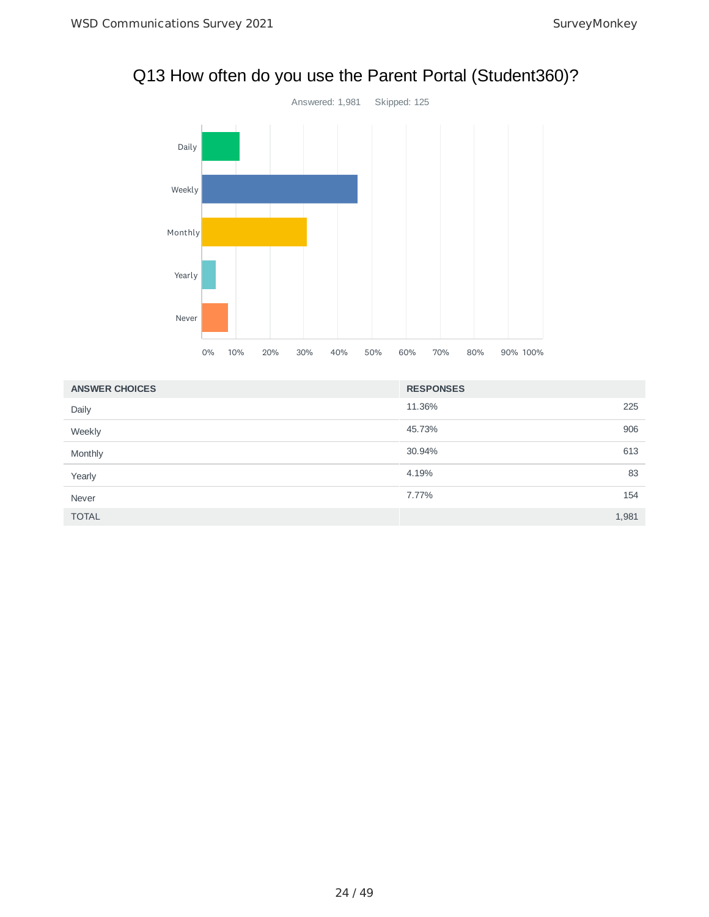

# Q13 How often do you use the Parent Portal (Student360)?

| <b>ANSWER CHOICES</b> | <b>RESPONSES</b> |       |
|-----------------------|------------------|-------|
| Daily                 | 11.36%           | 225   |
| Weekly                | 45.73%           | 906   |
| Monthly               | 30.94%           | 613   |
| Yearly                | 4.19%            | 83    |
| Never                 | 7.77%            | 154   |
| <b>TOTAL</b>          |                  | 1,981 |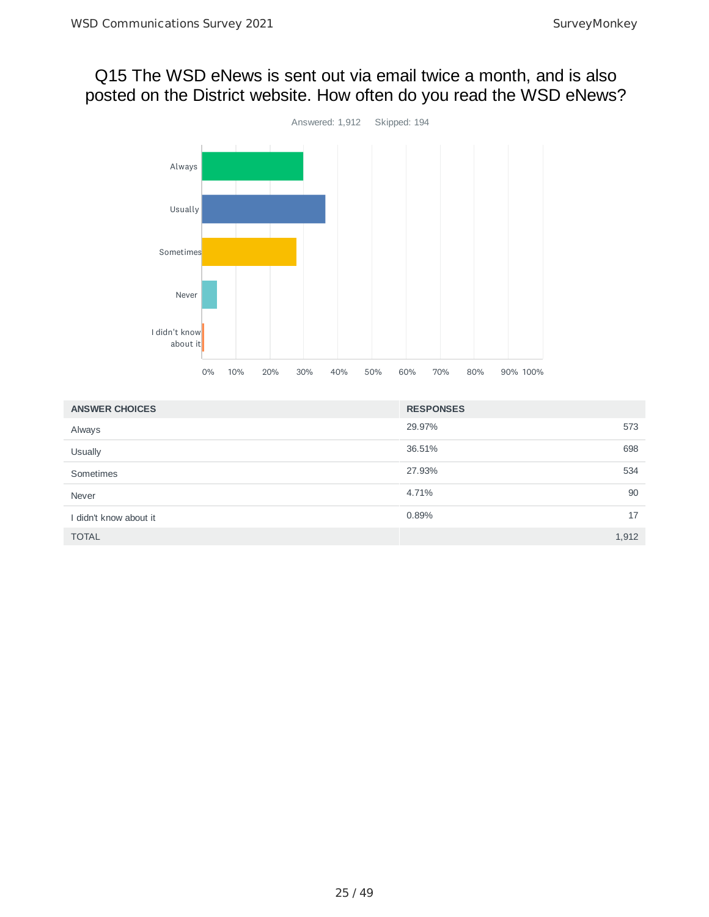# Q15 The WSD eNews is sent out via email twice a month, and is also posted on the District website. How often do you read the WSD eNews?



| <b>ANSWER CHOICES</b>  | <b>RESPONSES</b> |       |
|------------------------|------------------|-------|
| Always                 | 29.97%           | 573   |
| Usually                | 36.51%           | 698   |
| Sometimes              | 27.93%           | 534   |
| Never                  | 4.71%            | 90    |
| I didn't know about it | 0.89%            | 17    |
| <b>TOTAL</b>           |                  | 1,912 |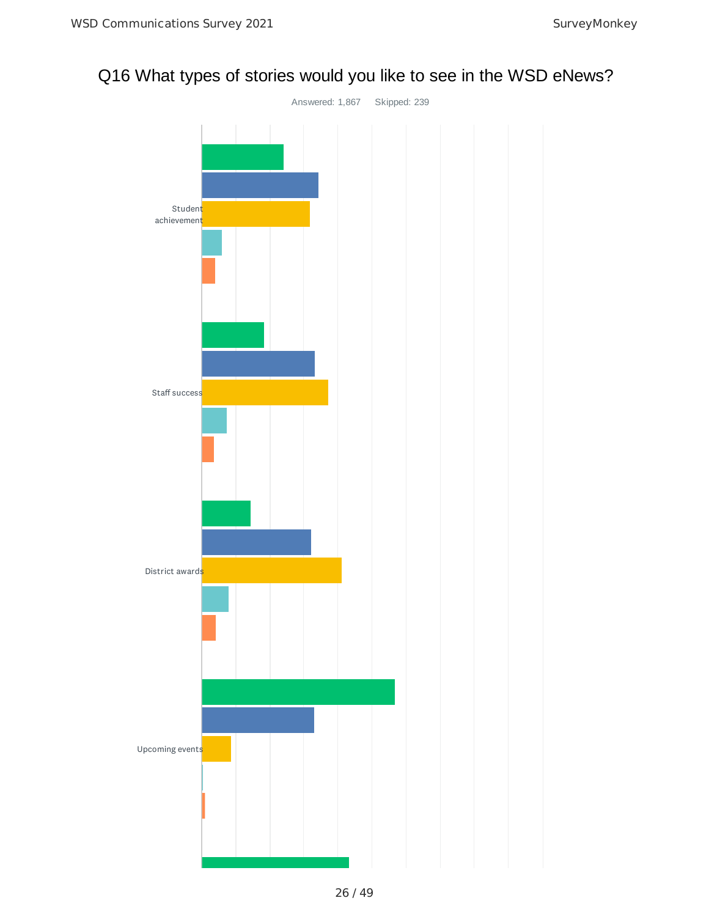# Q16 What types of stories would you like to see in the WSD eNews?

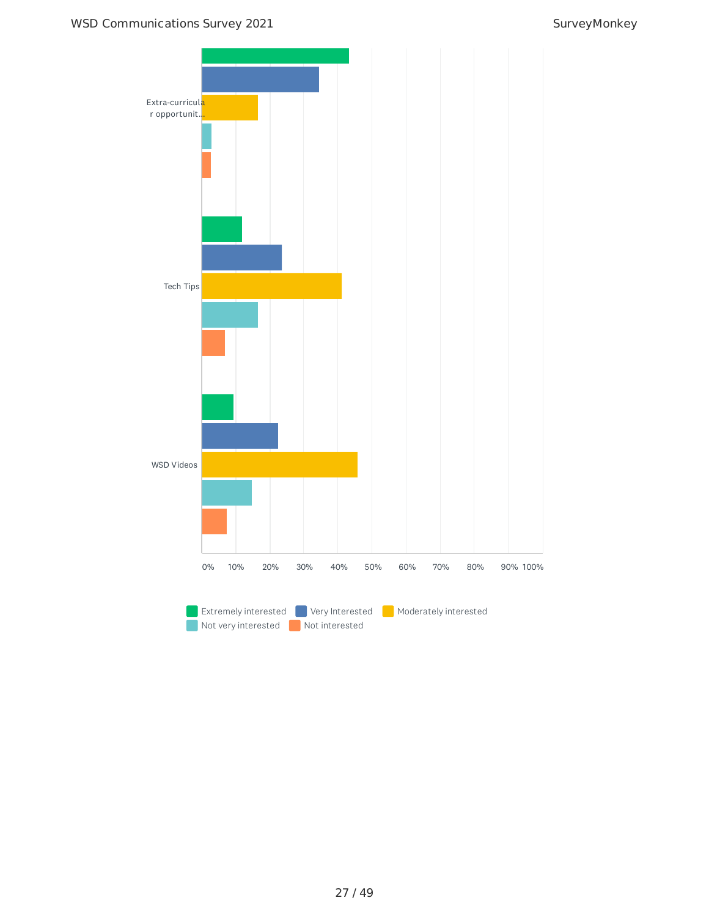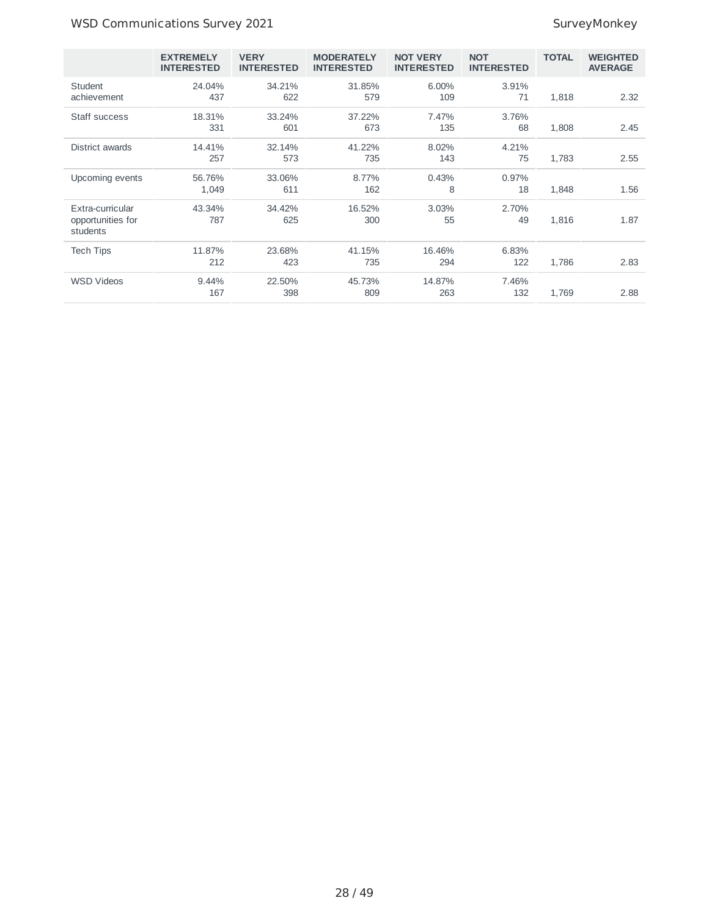## WSD Communications Survey 2021 and the state of the SurveyMonkey

|                                                   | <b>EXTREMELY</b><br><b>INTERESTED</b> | <b>VERY</b><br><b>INTERESTED</b> | <b>MODERATELY</b><br><b>INTERESTED</b> | <b>NOT VERY</b><br><b>INTERESTED</b> | <b>NOT</b><br><b>INTERESTED</b> | <b>TOTAL</b> | <b>WEIGHTED</b><br><b>AVERAGE</b> |
|---------------------------------------------------|---------------------------------------|----------------------------------|----------------------------------------|--------------------------------------|---------------------------------|--------------|-----------------------------------|
| Student<br>achievement                            | 24.04%<br>437                         | 34.21%<br>622                    | 31.85%<br>579                          | $6.00\%$<br>109                      | 3.91%<br>71                     | 1,818        | 2.32                              |
| Staff success                                     | 18.31%<br>331                         | 33.24%<br>601                    | 37.22%<br>673                          | 7.47%<br>135                         | 3.76%<br>68                     | 1,808        | 2.45                              |
| District awards                                   | 14.41%<br>257                         | 32.14%<br>573                    | 41.22%<br>735                          | 8.02%<br>143                         | 4.21%<br>75                     | 1,783        | 2.55                              |
| Upcoming events                                   | 56.76%<br>1,049                       | 33.06%<br>611                    | 8.77%<br>162                           | 0.43%<br>8                           | 0.97%<br>18                     | 1,848        | 1.56                              |
| Extra-curricular<br>opportunities for<br>students | 43.34%<br>787                         | 34.42%<br>625                    | 16.52%<br>300                          | 3.03%<br>55                          | 2.70%<br>49                     | 1,816        | 1.87                              |
| <b>Tech Tips</b>                                  | 11.87%<br>212                         | 23.68%<br>423                    | 41.15%<br>735                          | 16.46%<br>294                        | 6.83%<br>122                    | 1,786        | 2.83                              |
| <b>WSD Videos</b>                                 | 9.44%<br>167                          | 22.50%<br>398                    | 45.73%<br>809                          | 14.87%<br>263                        | 7.46%<br>132                    | 1,769        | 2.88                              |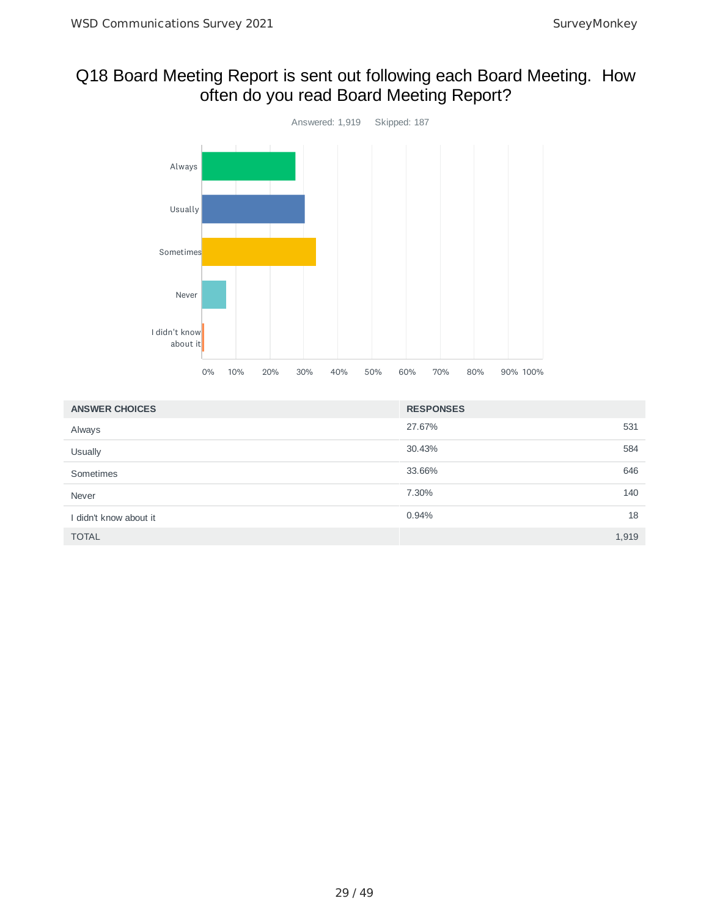# Q18 Board Meeting Report is sent out following each Board Meeting. How often do you read Board Meeting Report?



| <b>ANSWER CHOICES</b>  | <b>RESPONSES</b> |       |
|------------------------|------------------|-------|
| Always                 | 27.67%           | 531   |
| Usually                | 30.43%           | 584   |
| Sometimes              | 33.66%           | 646   |
| Never                  | 7.30%            | 140   |
| I didn't know about it | 0.94%            | 18    |
| <b>TOTAL</b>           |                  | 1,919 |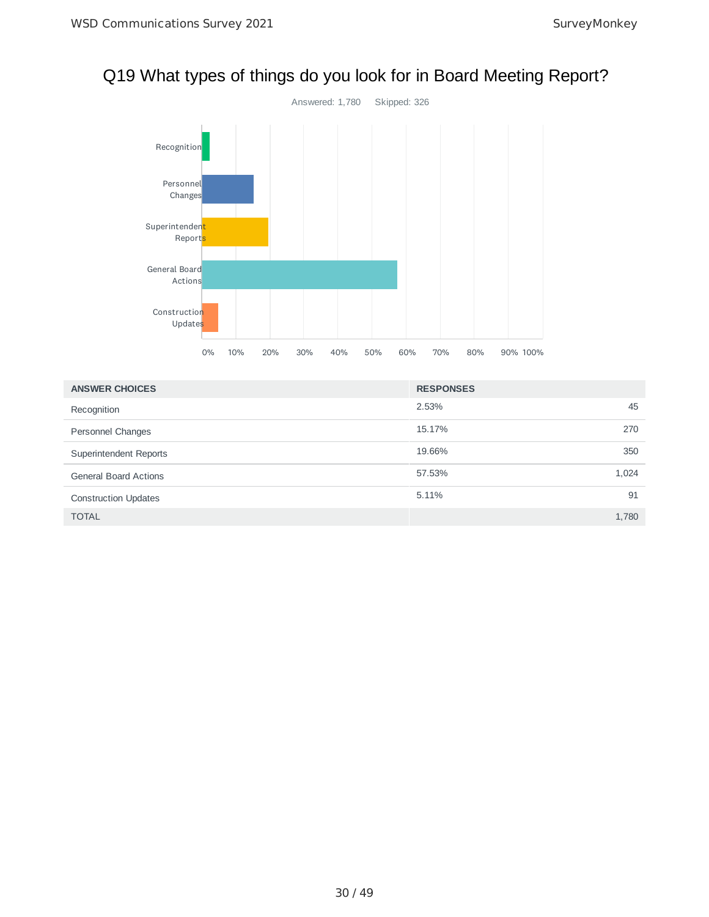

# Q19 What types of things do you look for in Board Meeting Report?

| <b>ANSWER CHOICES</b>        | <b>RESPONSES</b> |     |
|------------------------------|------------------|-----|
| Recognition                  | 2.53%            | 45  |
| Personnel Changes            | 15.17%           | 270 |
| Superintendent Reports       | 19.66%           | 350 |
| <b>General Board Actions</b> | 1,024<br>57.53%  |     |
| <b>Construction Updates</b>  | 5.11%            | 91  |
| <b>TOTAL</b>                 | 1,780            |     |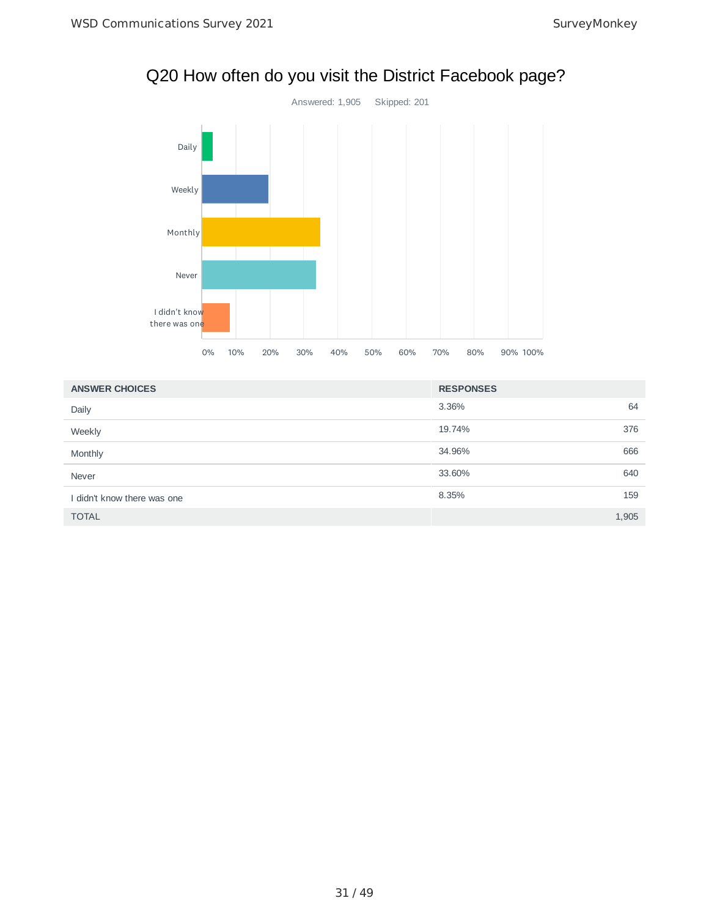

# Q20 How often do you visit the District Facebook page?

| <b>ANSWER CHOICES</b>       | <b>RESPONSES</b> |
|-----------------------------|------------------|
| Daily                       | 3.36%<br>64      |
| Weekly                      | 19.74%<br>376    |
| Monthly                     | 34.96%<br>666    |
| Never                       | 33.60%<br>640    |
| I didn't know there was one | 8.35%<br>159     |
| <b>TOTAL</b>                | 1,905            |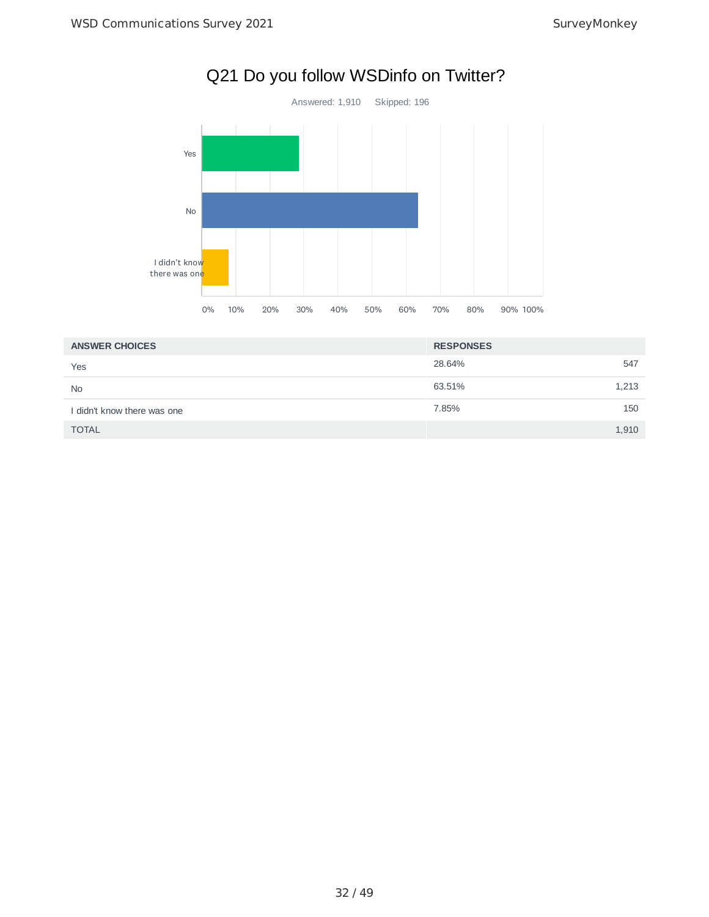

|                             | $0\%$ | 10% | 20% | 30% | 40% | 50% | 60% | 70%    | 80%              | 90% 100% |       |
|-----------------------------|-------|-----|-----|-----|-----|-----|-----|--------|------------------|----------|-------|
| <b>ANSWER CHOICES</b>       |       |     |     |     |     |     |     |        | <b>RESPONSES</b> |          |       |
| Yes                         |       |     |     |     |     |     |     | 28.64% |                  |          | 547   |
| <b>No</b>                   |       |     |     |     |     |     |     | 63.51% |                  |          | 1,213 |
| I didn't know there was one |       |     |     |     |     |     |     | 7.85%  |                  |          | 150   |
| <b>TOTAL</b>                |       |     |     |     |     |     |     |        |                  |          | 1,910 |

# Q21 Do you follow WSDinfo on Twitter?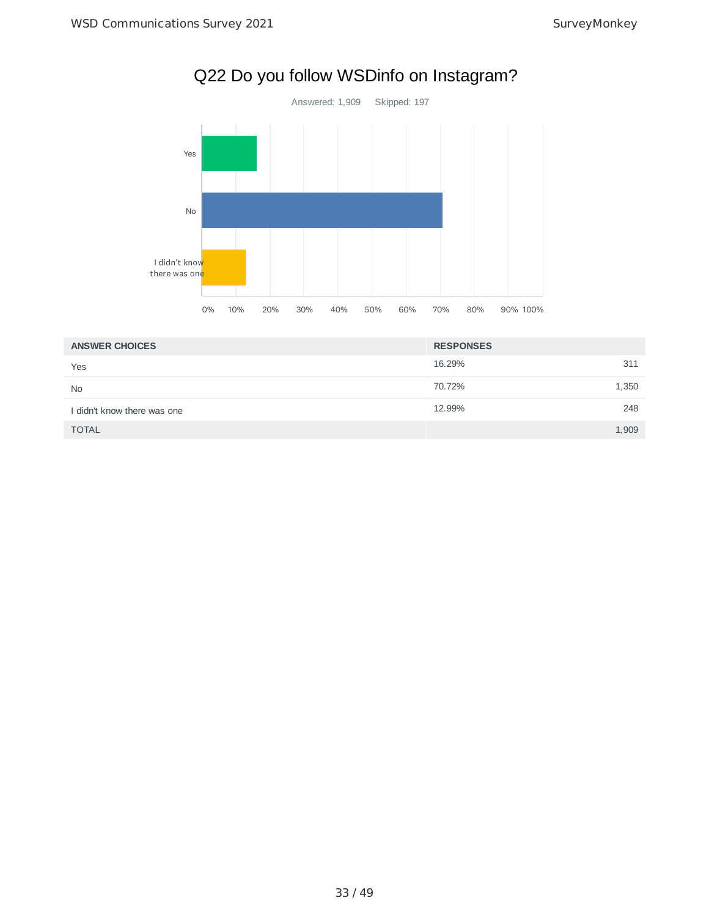

| Q22 Do you follow WSDinfo on Instagram? |  |
|-----------------------------------------|--|
|-----------------------------------------|--|

| <b>ANSWER CHOICES</b>       | <b>RESPONSES</b> |       |
|-----------------------------|------------------|-------|
| Yes                         | 16.29%           | 311   |
| <b>No</b>                   | 70.72%           | 1,350 |
| I didn't know there was one | 12.99%           | 248   |
| <b>TOTAL</b>                |                  | 1,909 |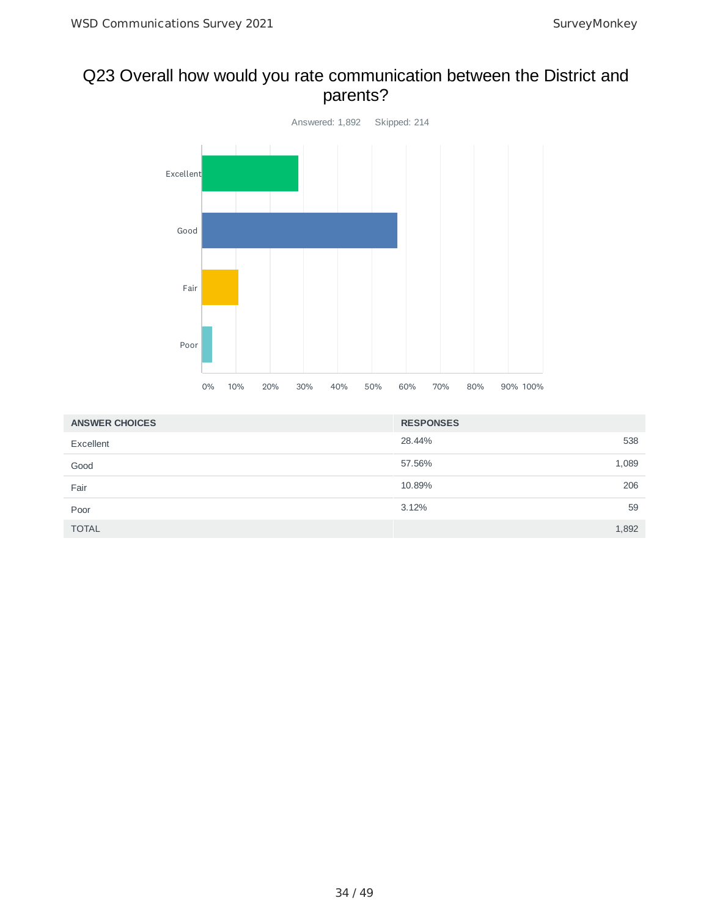# Q23 Overall how would you rate communication between the District and parents?



| <b>ANSWER CHOICES</b> | <b>RESPONSES</b> |       |
|-----------------------|------------------|-------|
| Excellent             | 28.44%           | 538   |
| Good                  | 57.56%           | 1,089 |
| Fair                  | 10.89%           | 206   |
| Poor                  | 3.12%            | 59    |
| <b>TOTAL</b>          |                  | 1,892 |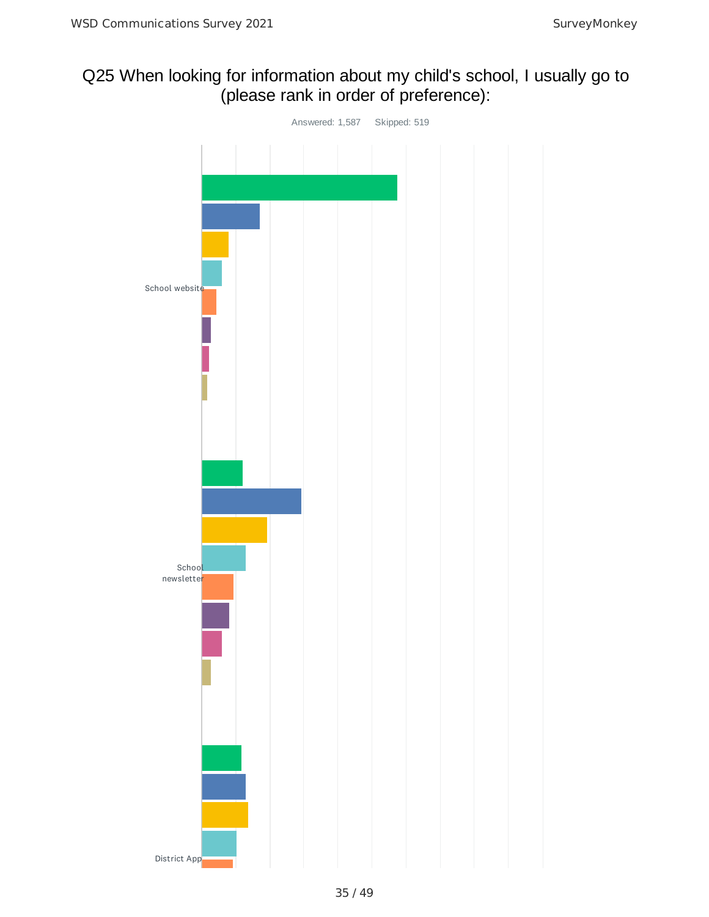# Q25 When looking for information about my child's school, I usually go to (please rank in order of preference):

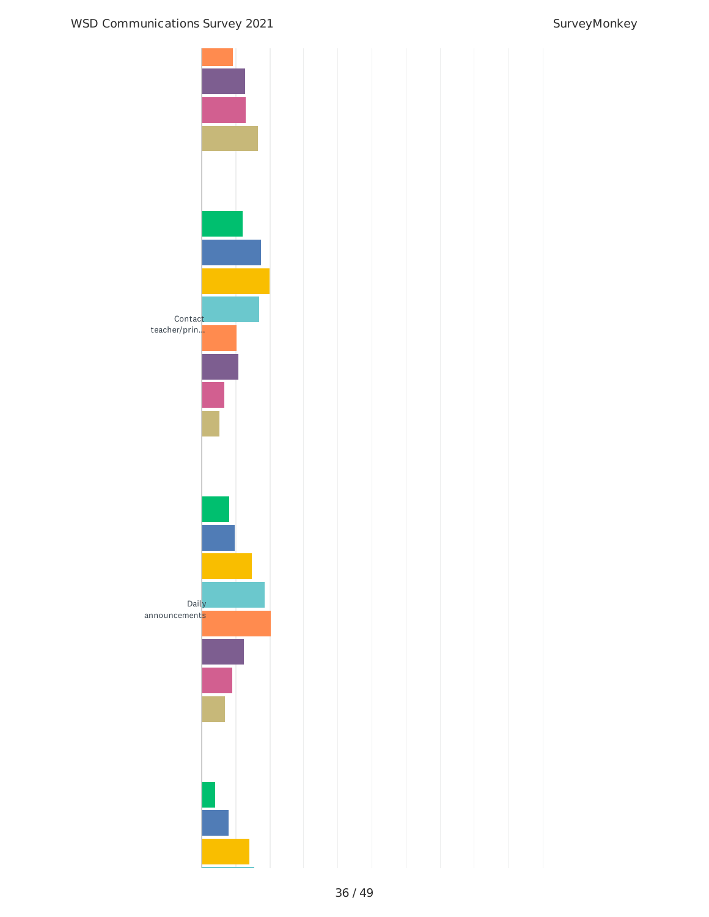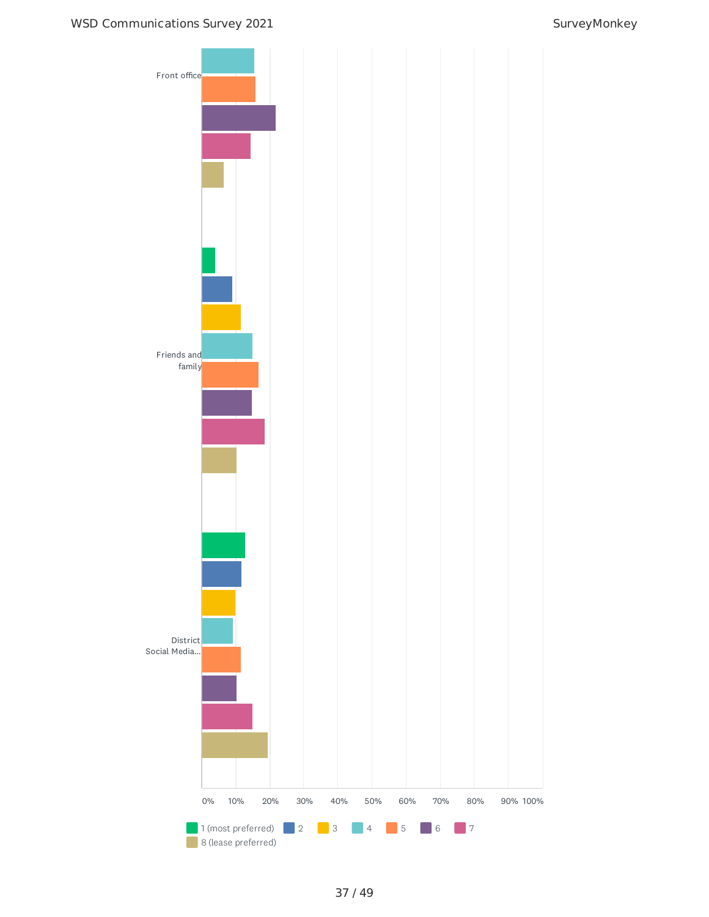## WSD Communications Survey 2021 SurveyMonkey

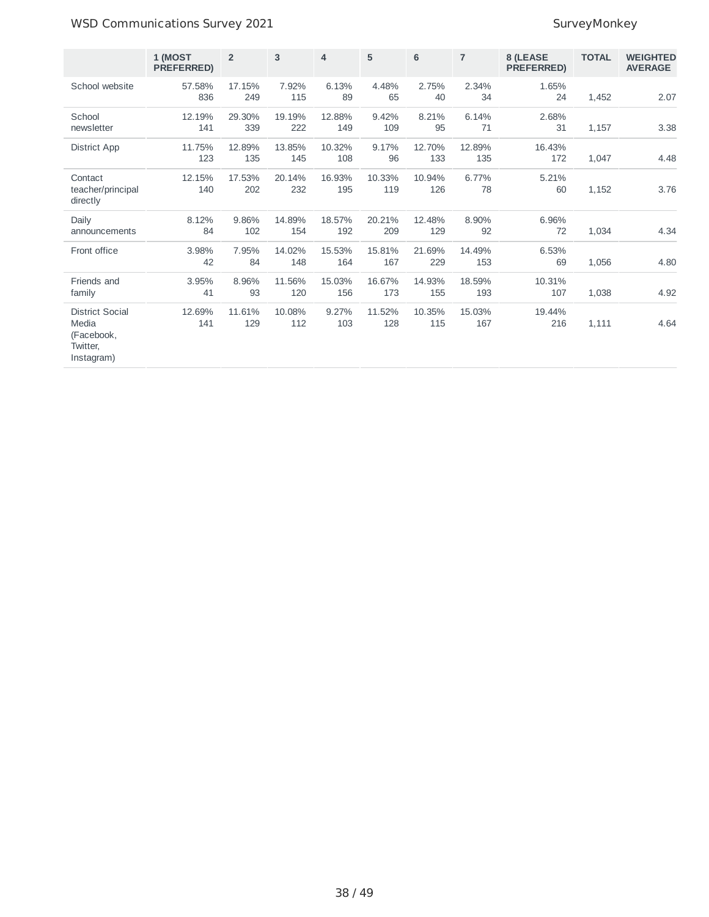## WSD Communications Survey 2021 and the state of the SurveyMonkey

|                                                                         | 1 (MOST<br>PREFERRED) | $\overline{2}$ | 3             | $\overline{4}$ | 5             | $6\phantom{1}$ | $\overline{7}$ | 8 (LEASE<br><b>PREFERRED)</b> | <b>TOTAL</b> | <b>WEIGHTED</b><br><b>AVERAGE</b> |
|-------------------------------------------------------------------------|-----------------------|----------------|---------------|----------------|---------------|----------------|----------------|-------------------------------|--------------|-----------------------------------|
| School website                                                          | 57.58%<br>836         | 17.15%<br>249  | 7.92%<br>115  | 6.13%<br>89    | 4.48%<br>65   | 2.75%<br>40    | 2.34%<br>34    | 1.65%<br>24                   | 1,452        | 2.07                              |
| School<br>newsletter                                                    | 12.19%<br>141         | 29.30%<br>339  | 19.19%<br>222 | 12.88%<br>149  | 9.42%<br>109  | 8.21%<br>95    | 6.14%<br>71    | 2.68%<br>31                   | 1,157        | 3.38                              |
| District App                                                            | 11.75%<br>123         | 12.89%<br>135  | 13.85%<br>145 | 10.32%<br>108  | 9.17%<br>96   | 12.70%<br>133  | 12.89%<br>135  | 16.43%<br>172                 | 1,047        | 4.48                              |
| Contact<br>teacher/principal<br>directly                                | 12.15%<br>140         | 17.53%<br>202  | 20.14%<br>232 | 16.93%<br>195  | 10.33%<br>119 | 10.94%<br>126  | 6.77%<br>78    | 5.21%<br>60                   | 1,152        | 3.76                              |
| Daily<br>announcements                                                  | 8.12%<br>84           | 9.86%<br>102   | 14.89%<br>154 | 18.57%<br>192  | 20.21%<br>209 | 12.48%<br>129  | 8.90%<br>92    | 6.96%<br>72                   | 1,034        | 4.34                              |
| Front office                                                            | 3.98%<br>42           | 7.95%<br>84    | 14.02%<br>148 | 15.53%<br>164  | 15.81%<br>167 | 21.69%<br>229  | 14.49%<br>153  | 6.53%<br>69                   | 1,056        | 4.80                              |
| Friends and<br>family                                                   | 3.95%<br>41           | 8.96%<br>93    | 11.56%<br>120 | 15.03%<br>156  | 16.67%<br>173 | 14.93%<br>155  | 18.59%<br>193  | 10.31%<br>107                 | 1,038        | 4.92                              |
| <b>District Social</b><br>Media<br>(Facebook,<br>Twitter,<br>Instagram) | 12.69%<br>141         | 11.61%<br>129  | 10.08%<br>112 | 9.27%<br>103   | 11.52%<br>128 | 10.35%<br>115  | 15.03%<br>167  | 19.44%<br>216                 | 1,111        | 4.64                              |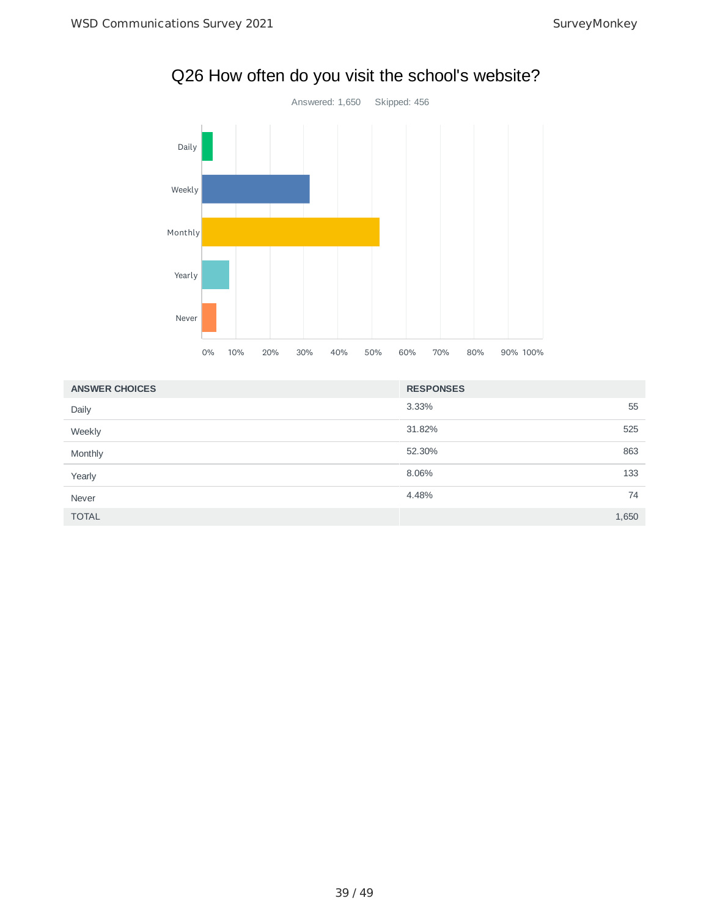

# Q26 How often do you visit the school's website?

| <b>ANSWER CHOICES</b> | <b>RESPONSES</b> |       |
|-----------------------|------------------|-------|
| Daily                 | 3.33%            | 55    |
| Weekly                | 31.82%           | 525   |
| Monthly               | 52.30%           | 863   |
| Yearly                | 8.06%            | 133   |
| Never                 | 4.48%            | 74    |
| <b>TOTAL</b>          |                  | 1,650 |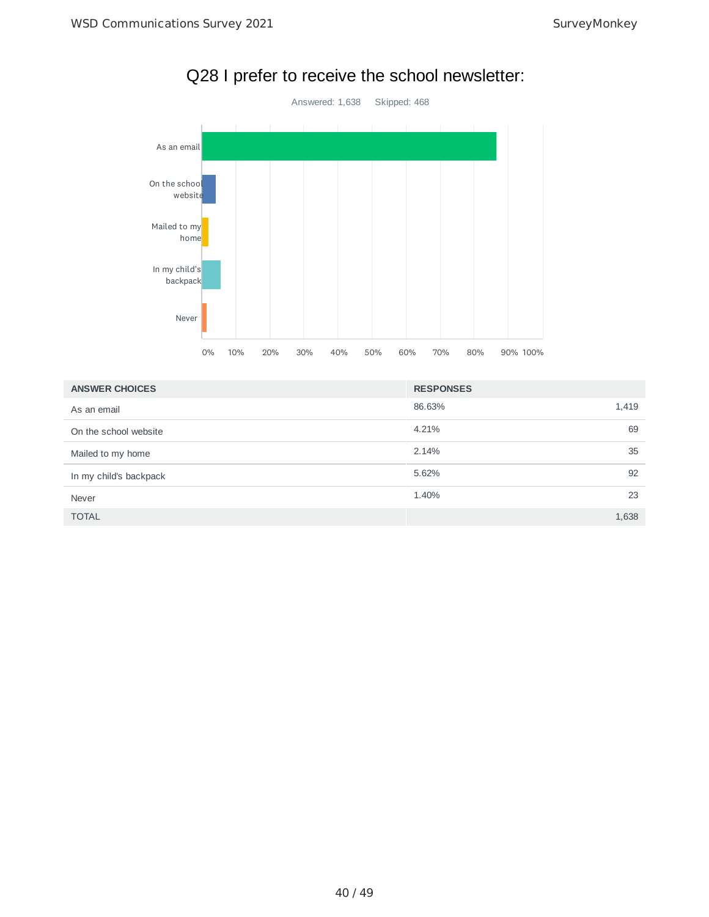

# Q28 I prefer to receive the school newsletter:

| <b>ANSWER CHOICES</b>  | <b>RESPONSES</b> |
|------------------------|------------------|
| As an email            | 86.63%<br>1,419  |
| On the school website  | 4.21%<br>69      |
| Mailed to my home      | 2.14%<br>35      |
| In my child's backpack | 5.62%<br>92      |
| Never                  | 1.40%<br>23      |
| <b>TOTAL</b>           | 1,638            |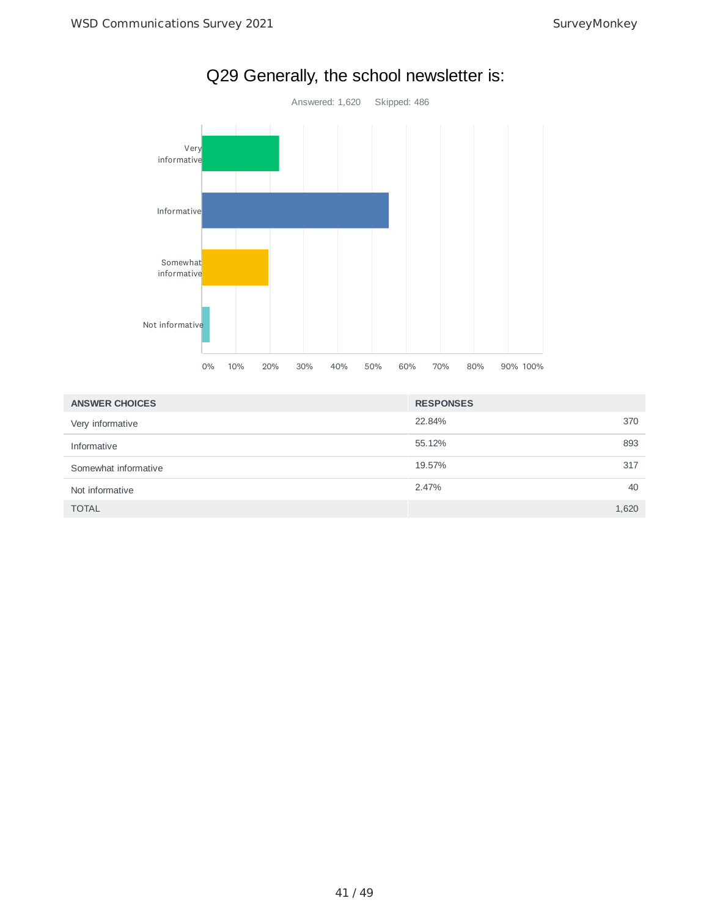

| <b>ANSWER CHOICES</b> | <b>RESPONSES</b> |       |
|-----------------------|------------------|-------|
| Very informative      | 22.84%           | 370   |
| Informative           | 55.12%           | 893   |
| Somewhat informative  | 19.57%           | 317   |
| Not informative       | 2.47%            | 40    |
| <b>TOTAL</b>          |                  | 1,620 |

# Q29 Generally, the school newsletter is: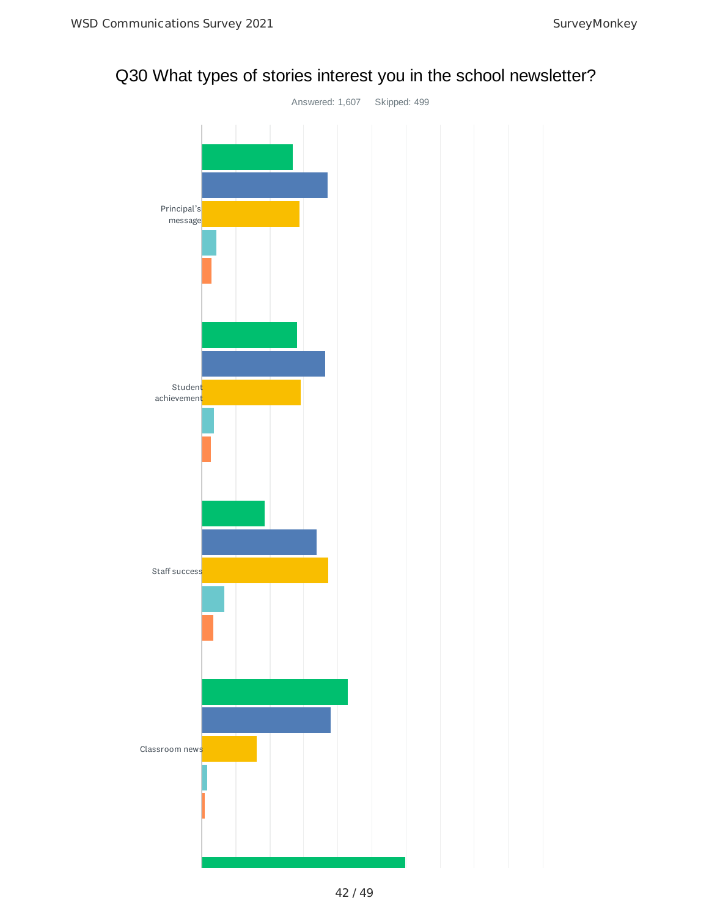# Q30 What types of stories interest you in the school newsletter?

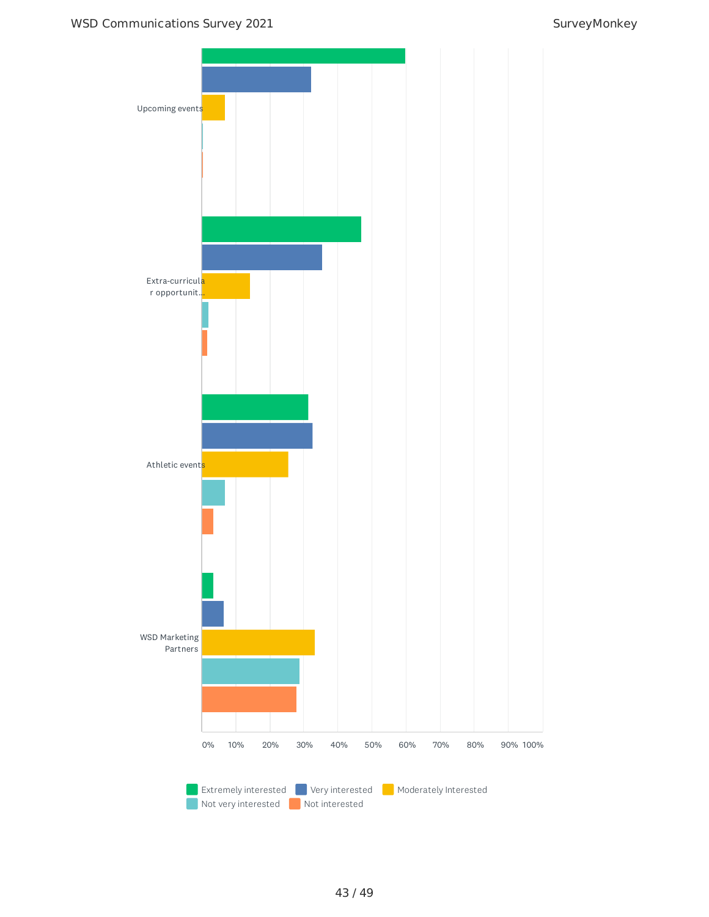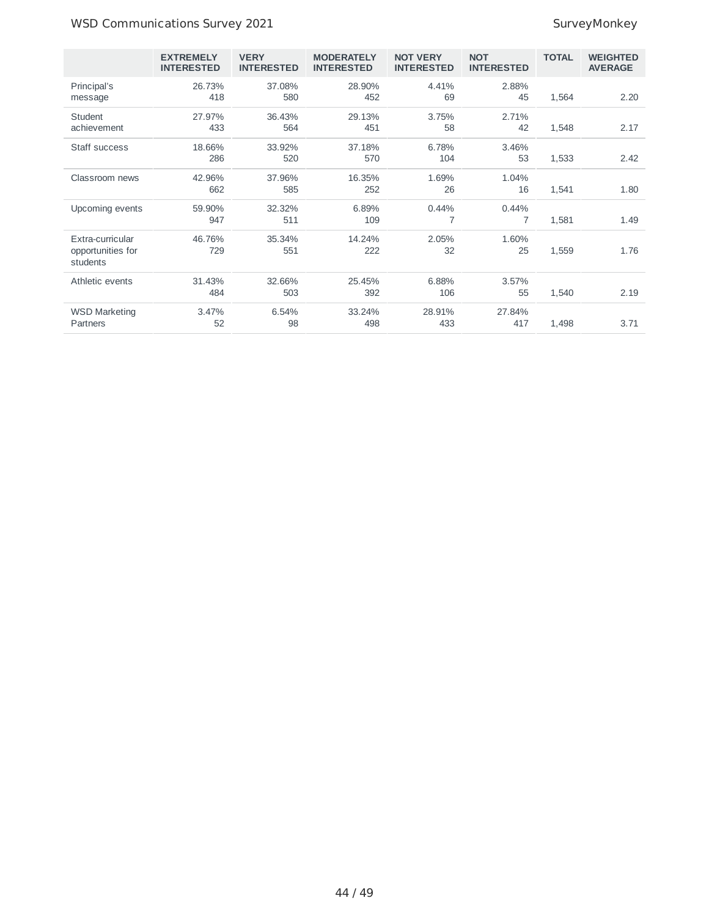## WSD Communications Survey 2021 and the state of the SurveyMonkey

|                                                   | <b>EXTREMELY</b><br><b>INTERESTED</b> | <b>VERY</b><br><b>INTERESTED</b> | <b>MODERATELY</b><br><b>INTERESTED</b> | <b>NOT VERY</b><br><b>INTERESTED</b> | <b>NOT</b><br><b>INTERESTED</b> | <b>TOTAL</b> | <b>WEIGHTED</b><br><b>AVERAGE</b> |
|---------------------------------------------------|---------------------------------------|----------------------------------|----------------------------------------|--------------------------------------|---------------------------------|--------------|-----------------------------------|
| Principal's<br>message                            | 26.73%<br>418                         | 37.08%<br>580                    | 28.90%<br>452                          | 4.41%<br>69                          | 2.88%<br>45                     | 1,564        | 2.20                              |
| Student<br>achievement                            | 27.97%<br>433                         | 36.43%<br>564                    | 29.13%<br>451                          | 3.75%<br>58                          | 2.71%<br>42                     | 1,548        | 2.17                              |
| Staff success                                     | 18.66%<br>286                         | 33.92%<br>520                    | 37.18%<br>570                          | 6.78%<br>104                         | 3.46%<br>53                     | 1,533        | 2.42                              |
| Classroom news                                    | 42.96%<br>662                         | 37.96%<br>585                    | 16.35%<br>252                          | 1.69%<br>26                          | 1.04%<br>16                     | 1,541        | 1.80                              |
| Upcoming events                                   | 59.90%<br>947                         | 32.32%<br>511                    | 6.89%<br>109                           | 0.44%<br>7                           | 0.44%<br>7                      | 1,581        | 1.49                              |
| Extra-curricular<br>opportunities for<br>students | 46.76%<br>729                         | 35.34%<br>551                    | 14.24%<br>222                          | 2.05%<br>32                          | 1.60%<br>25                     | 1,559        | 1.76                              |
| Athletic events                                   | 31.43%<br>484                         | 32.66%<br>503                    | 25.45%<br>392                          | 6.88%<br>106                         | 3.57%<br>55                     | 1,540        | 2.19                              |
| <b>WSD Marketing</b><br>Partners                  | 3.47%<br>52                           | 6.54%<br>98                      | 33.24%<br>498                          | 28.91%<br>433                        | 27.84%<br>417                   | 1,498        | 3.71                              |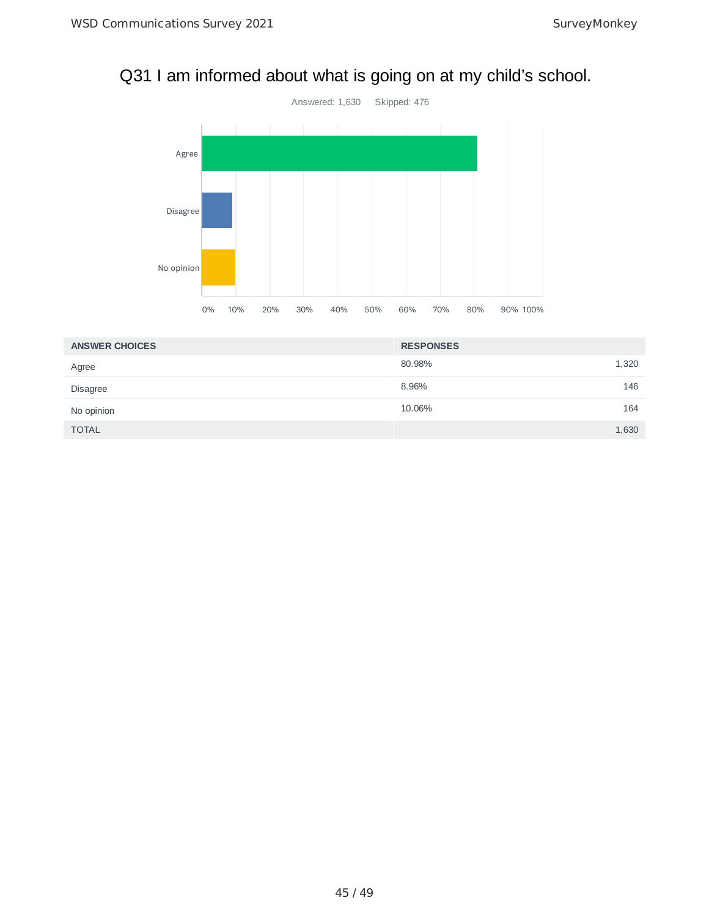# Q31 I am informed about what is going on at my child's school.



| <b>ANSWER CHOICES</b> | <b>RESPONSES</b> |       |
|-----------------------|------------------|-------|
| Agree                 | 80.98%           | 1,320 |
| <b>Disagree</b>       | 8.96%            | 146   |
| No opinion            | 10.06%           | 164   |
| <b>TOTAL</b>          |                  | 1,630 |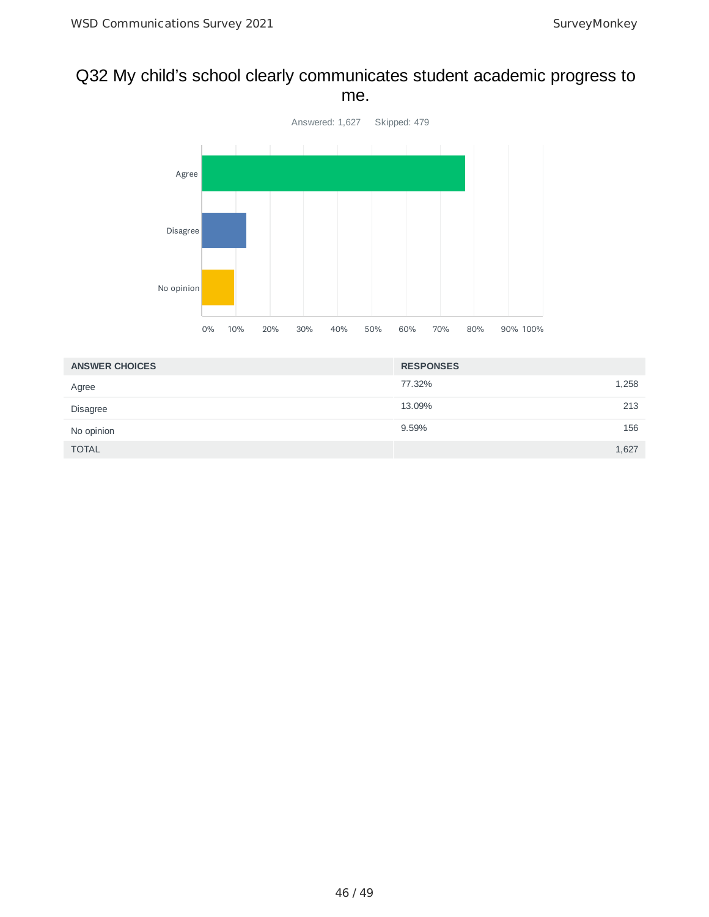## Q32 My child's school clearly communicates student academic progress to me.



| <b>ANSWER CHOICES</b> | <b>RESPONSES</b> |  |
|-----------------------|------------------|--|
| Agree                 | 1,258<br>77.32%  |  |
| Disagree              | 213<br>13.09%    |  |
| No opinion            | 9.59%<br>156     |  |
| <b>TOTAL</b>          | 1,627            |  |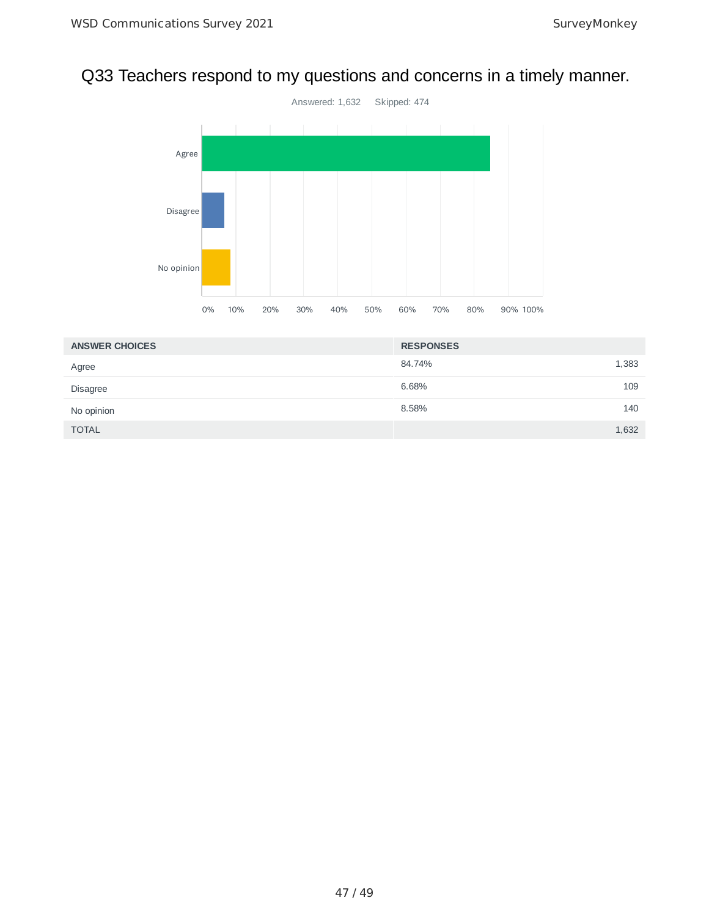# Q33 Teachers respond to my questions and concerns in a timely manner.



| <b>ANSWER CHOICES</b> | <b>RESPONSES</b> |  |
|-----------------------|------------------|--|
| Agree                 | 1,383<br>84.74%  |  |
| Disagree              | 6.68%<br>109     |  |
| No opinion            | 8.58%<br>140     |  |
| <b>TOTAL</b>          | 1,632            |  |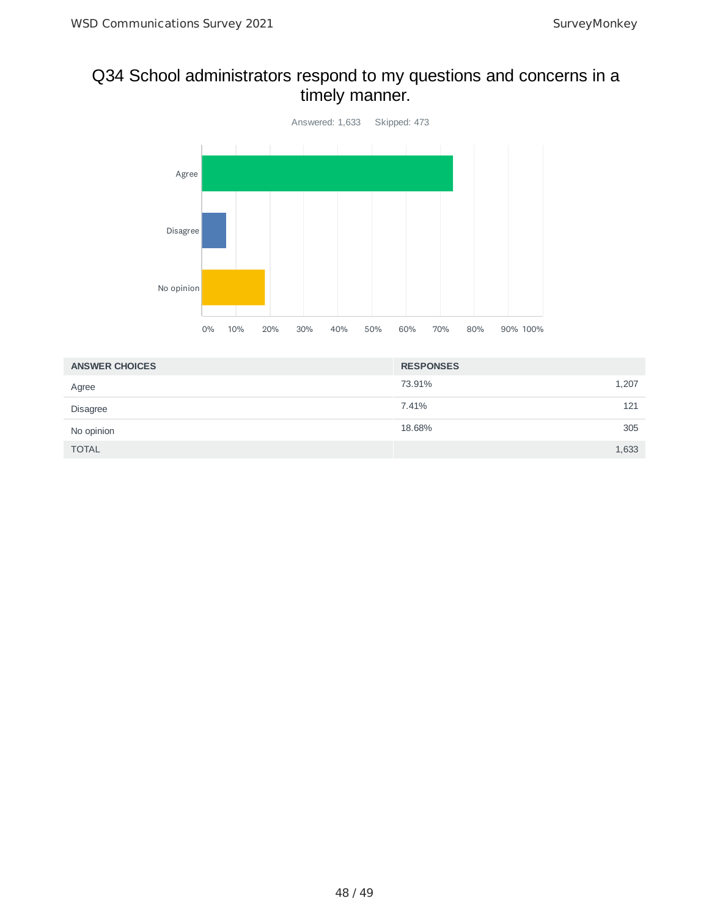# Q34 School administrators respond to my questions and concerns in a timely manner.



| <b>ANSWER CHOICES</b> | <b>RESPONSES</b> |       |
|-----------------------|------------------|-------|
| Agree                 | 73.91%           | 1,207 |
| Disagree              | 7.41%            | 121   |
| No opinion            | 18.68%           | 305   |
| <b>TOTAL</b>          |                  | 1,633 |